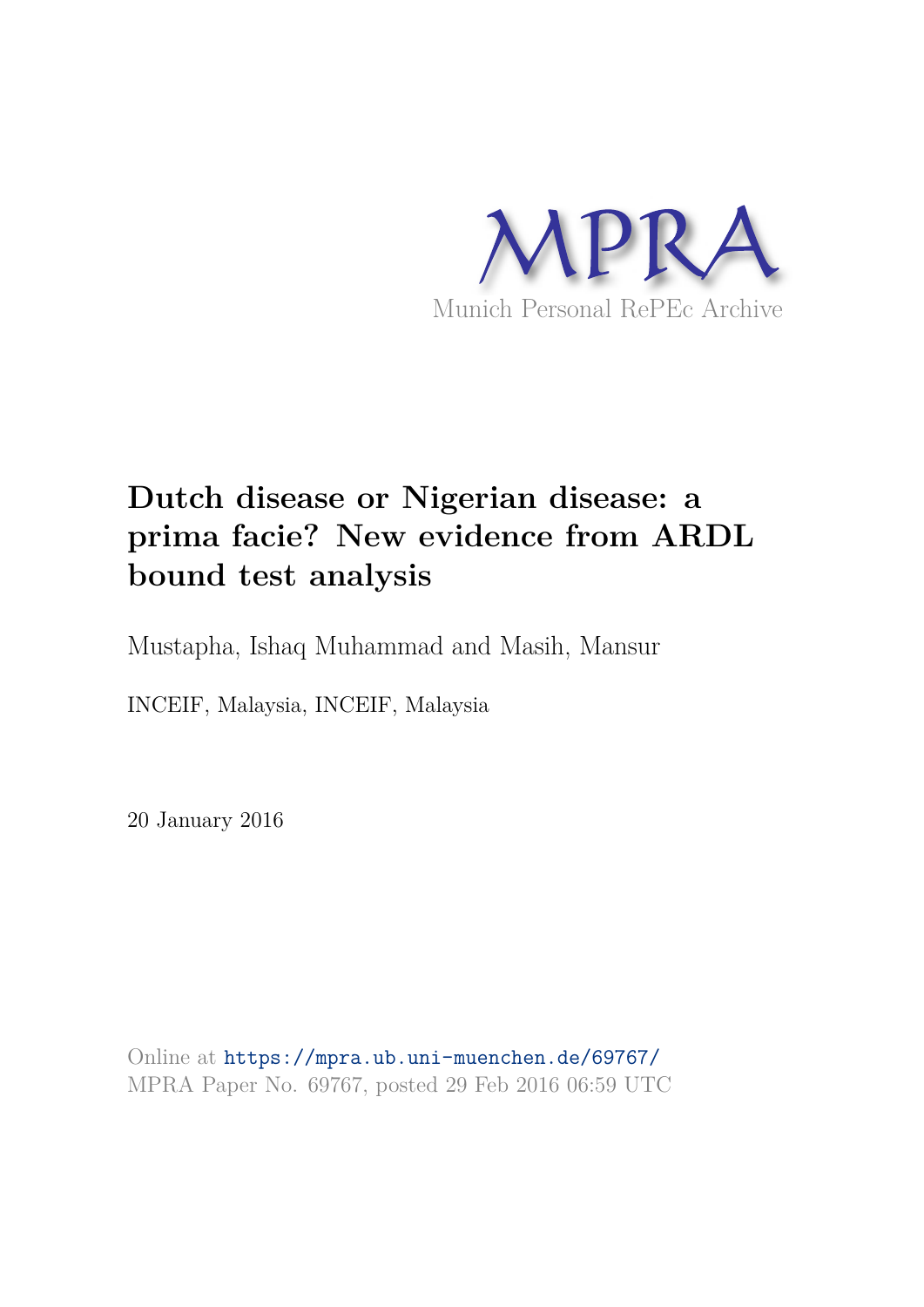

# **Dutch disease or Nigerian disease: a prima facie? New evidence from ARDL bound test analysis**

Mustapha, Ishaq Muhammad and Masih, Mansur

INCEIF, Malaysia, INCEIF, Malaysia

20 January 2016

Online at https://mpra.ub.uni-muenchen.de/69767/ MPRA Paper No. 69767, posted 29 Feb 2016 06:59 UTC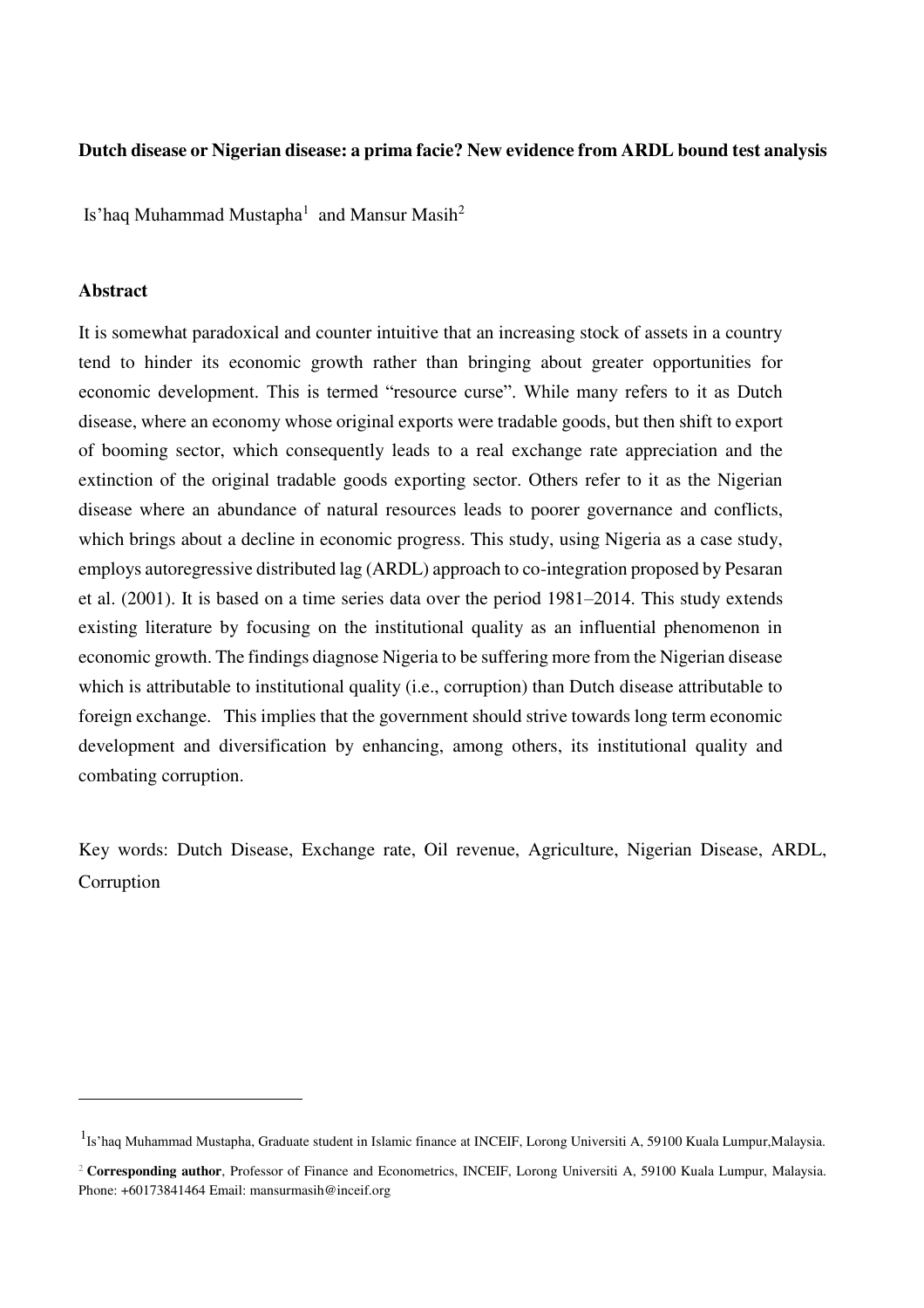#### **Dutch disease or Nigerian disease: a prima facie? New evidence from ARDL bound test analysis**

Is'haq Muhammad Mustapha $^1\,$  and Mansur Masih $^2\,$ 

#### **Abstract**

 $\overline{a}$ 

It is somewhat paradoxical and counter intuitive that an increasing stock of assets in a country tend to hinder its economic growth rather than bringing about greater opportunities for economic development. This is termed "resource curse". While many refers to it as Dutch disease, where an economy whose original exports were tradable goods, but then shift to export of booming sector, which consequently leads to a real exchange rate appreciation and the extinction of the original tradable goods exporting sector. Others refer to it as the Nigerian disease where an abundance of natural resources leads to poorer governance and conflicts, which brings about a decline in economic progress. This study, using Nigeria as a case study, employs autoregressive distributed lag (ARDL) approach to co-integration proposed by Pesaran et al. (2001). It is based on a time series data over the period 1981–2014. This study extends existing literature by focusing on the institutional quality as an influential phenomenon in economic growth. The findings diagnose Nigeria to be suffering more from the Nigerian disease which is attributable to institutional quality (i.e., corruption) than Dutch disease attributable to foreign exchange. This implies that the government should strive towards long term economic development and diversification by enhancing, among others, its institutional quality and combating corruption.

Key words: Dutch Disease, Exchange rate, Oil revenue, Agriculture, Nigerian Disease, ARDL, Corruption

<sup>&</sup>lt;sup>1</sup>Is'haq Muhammad Mustapha, Graduate student in Islamic finance at INCEIF, Lorong Universiti A, 59100 Kuala Lumpur,Malaysia.

<sup>&</sup>lt;sup>2</sup> Corresponding author, Professor of Finance and Econometrics, INCEIF, Lorong Universiti A, 59100 Kuala Lumpur, Malaysia. Phone: +60173841464 Email: mansurmasih@inceif.org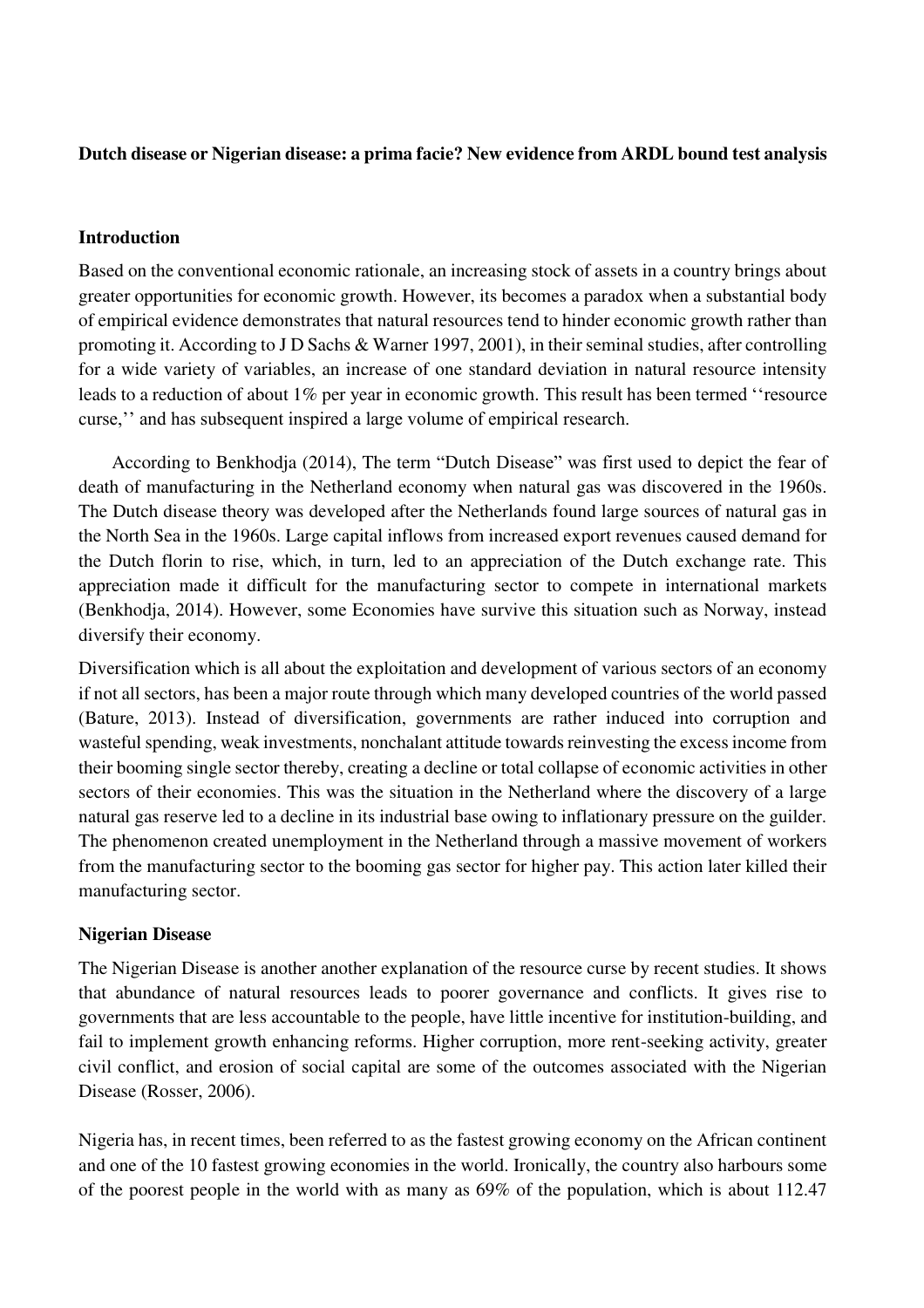#### **Dutch disease or Nigerian disease: a prima facie? New evidence from ARDL bound test analysis**

#### **Introduction**

Based on the conventional economic rationale, an increasing stock of assets in a country brings about greater opportunities for economic growth. However, its becomes a paradox when a substantial body of empirical evidence demonstrates that natural resources tend to hinder economic growth rather than promoting it. According to J D Sachs & Warner 1997, 2001), in their seminal studies, after controlling for a wide variety of variables, an increase of one standard deviation in natural resource intensity leads to a reduction of about 1% per year in economic growth. This result has been termed "resource" curse,'' and has subsequent inspired a large volume of empirical research.

According to Benkhodja (2014), The term "Dutch Disease" was first used to depict the fear of death of manufacturing in the Netherland economy when natural gas was discovered in the 1960s. The Dutch disease theory was developed after the Netherlands found large sources of natural gas in the North Sea in the 1960s. Large capital inflows from increased export revenues caused demand for the Dutch florin to rise, which, in turn, led to an appreciation of the Dutch exchange rate. This appreciation made it difficult for the manufacturing sector to compete in international markets (Benkhodja, 2014). However, some Economies have survive this situation such as Norway, instead diversify their economy.

Diversification which is all about the exploitation and development of various sectors of an economy if not all sectors, has been a major route through which many developed countries of the world passed (Bature, 2013). Instead of diversification, governments are rather induced into corruption and wasteful spending, weak investments, nonchalant attitude towards reinvesting the excess income from their booming single sector thereby, creating a decline or total collapse of economic activities in other sectors of their economies. This was the situation in the Netherland where the discovery of a large natural gas reserve led to a decline in its industrial base owing to inflationary pressure on the guilder. The phenomenon created unemployment in the Netherland through a massive movement of workers from the manufacturing sector to the booming gas sector for higher pay. This action later killed their manufacturing sector.

#### **Nigerian Disease**

The Nigerian Disease is another another explanation of the resource curse by recent studies. It shows that abundance of natural resources leads to poorer governance and conflicts. It gives rise to governments that are less accountable to the people, have little incentive for institution-building, and fail to implement growth enhancing reforms. Higher corruption, more rent-seeking activity, greater civil conflict, and erosion of social capital are some of the outcomes associated with the Nigerian Disease (Rosser, 2006).

Nigeria has, in recent times, been referred to as the fastest growing economy on the African continent and one of the 10 fastest growing economies in the world. Ironically, the country also harbours some of the poorest people in the world with as many as 69% of the population, which is about 112.47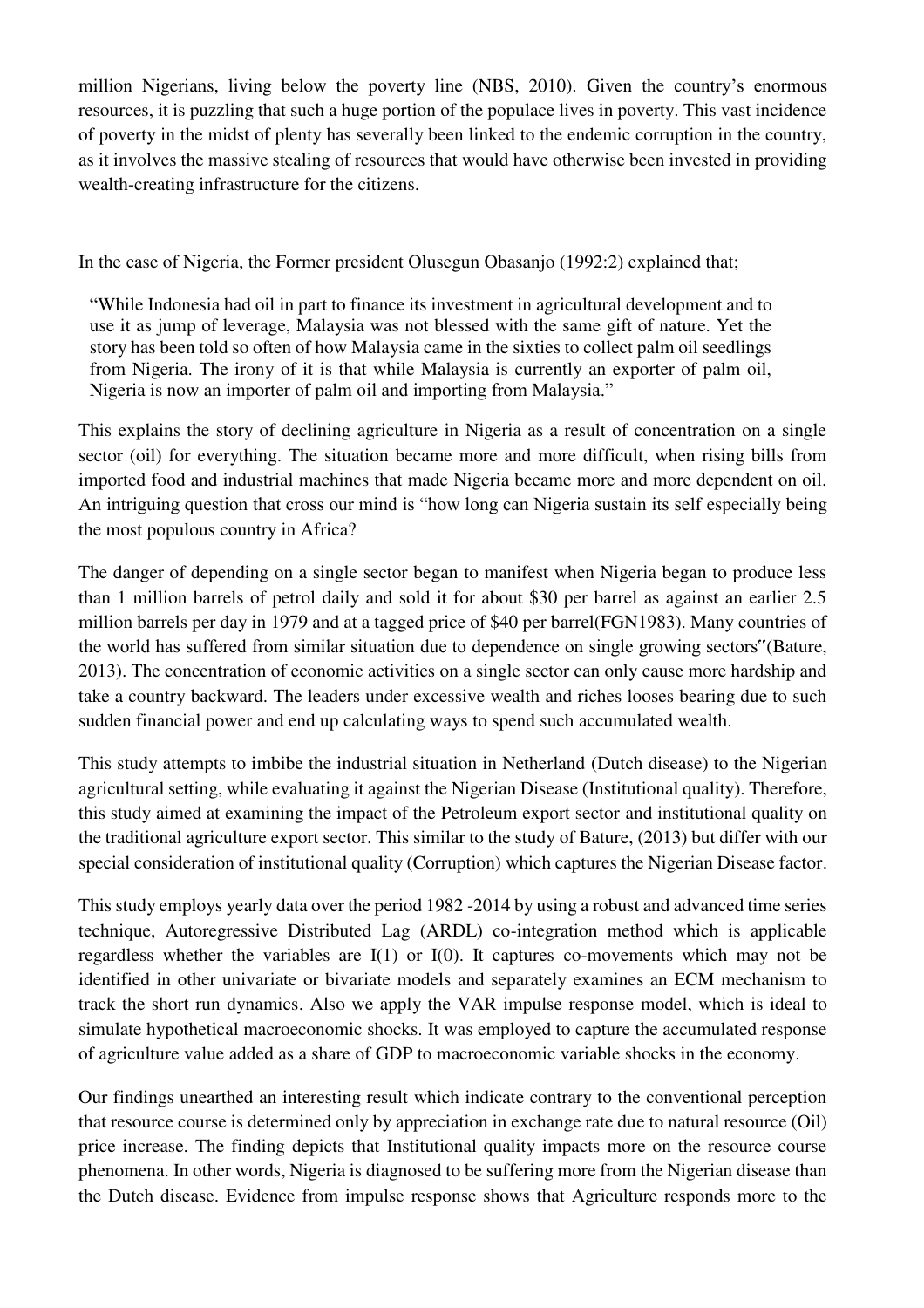million Nigerians, living below the poverty line (NBS, 2010). Given the country's enormous resources, it is puzzling that such a huge portion of the populace lives in poverty. This vast incidence of poverty in the midst of plenty has severally been linked to the endemic corruption in the country, as it involves the massive stealing of resources that would have otherwise been invested in providing wealth-creating infrastructure for the citizens.

In the case of Nigeria, the Former president Olusegun Obasanjo (1992:2) explained that;

"While Indonesia had oil in part to finance its investment in agricultural development and to use it as jump of leverage, Malaysia was not blessed with the same gift of nature. Yet the story has been told so often of how Malaysia came in the sixties to collect palm oil seedlings from Nigeria. The irony of it is that while Malaysia is currently an exporter of palm oil, Nigeria is now an importer of palm oil and importing from Malaysia."

This explains the story of declining agriculture in Nigeria as a result of concentration on a single sector (oil) for everything. The situation became more and more difficult, when rising bills from imported food and industrial machines that made Nigeria became more and more dependent on oil. An intriguing question that cross our mind is "how long can Nigeria sustain its self especially being the most populous country in Africa?

The danger of depending on a single sector began to manifest when Nigeria began to produce less than 1 million barrels of petrol daily and sold it for about \$30 per barrel as against an earlier 2.5 million barrels per day in 1979 and at a tagged price of \$40 per barrel(FGN1983). Many countries of the world has suffered from similar situation due to dependence on single growing sectors"(Bature, 2013). The concentration of economic activities on a single sector can only cause more hardship and take a country backward. The leaders under excessive wealth and riches looses bearing due to such sudden financial power and end up calculating ways to spend such accumulated wealth.

This study attempts to imbibe the industrial situation in Netherland (Dutch disease) to the Nigerian agricultural setting, while evaluating it against the Nigerian Disease (Institutional quality). Therefore, this study aimed at examining the impact of the Petroleum export sector and institutional quality on the traditional agriculture export sector. This similar to the study of Bature, (2013) but differ with our special consideration of institutional quality (Corruption) which captures the Nigerian Disease factor.

This study employs yearly data over the period 1982 -2014 by using a robust and advanced time series technique, Autoregressive Distributed Lag (ARDL) co-integration method which is applicable regardless whether the variables are I(1) or I(0). It captures co-movements which may not be identified in other univariate or bivariate models and separately examines an ECM mechanism to track the short run dynamics. Also we apply the VAR impulse response model, which is ideal to simulate hypothetical macroeconomic shocks. It was employed to capture the accumulated response of agriculture value added as a share of GDP to macroeconomic variable shocks in the economy.

Our findings unearthed an interesting result which indicate contrary to the conventional perception that resource course is determined only by appreciation in exchange rate due to natural resource (Oil) price increase. The finding depicts that Institutional quality impacts more on the resource course phenomena. In other words, Nigeria is diagnosed to be suffering more from the Nigerian disease than the Dutch disease. Evidence from impulse response shows that Agriculture responds more to the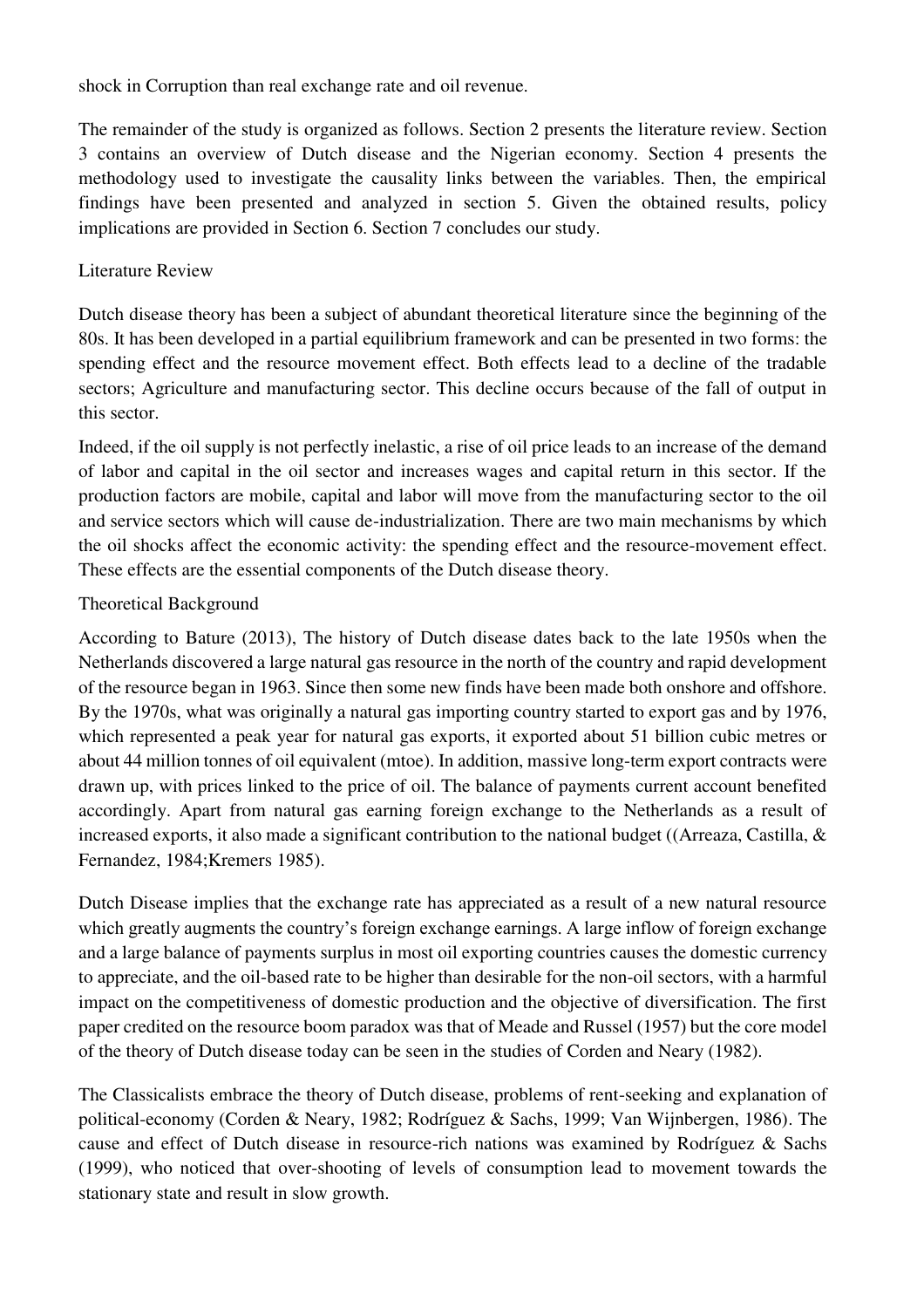shock in Corruption than real exchange rate and oil revenue.

The remainder of the study is organized as follows. Section 2 presents the literature review. Section 3 contains an overview of Dutch disease and the Nigerian economy. Section 4 presents the methodology used to investigate the causality links between the variables. Then, the empirical findings have been presented and analyzed in section 5. Given the obtained results, policy implications are provided in Section 6. Section 7 concludes our study.

## Literature Review

Dutch disease theory has been a subject of abundant theoretical literature since the beginning of the 80s. It has been developed in a partial equilibrium framework and can be presented in two forms: the spending effect and the resource movement effect. Both effects lead to a decline of the tradable sectors; Agriculture and manufacturing sector. This decline occurs because of the fall of output in this sector.

Indeed, if the oil supply is not perfectly inelastic, a rise of oil price leads to an increase of the demand of labor and capital in the oil sector and increases wages and capital return in this sector. If the production factors are mobile, capital and labor will move from the manufacturing sector to the oil and service sectors which will cause de-industrialization. There are two main mechanisms by which the oil shocks affect the economic activity: the spending effect and the resource-movement effect. These effects are the essential components of the Dutch disease theory.

### Theoretical Background

According to Bature (2013), The history of Dutch disease dates back to the late 1950s when the Netherlands discovered a large natural gas resource in the north of the country and rapid development of the resource began in 1963. Since then some new finds have been made both onshore and offshore. By the 1970s, what was originally a natural gas importing country started to export gas and by 1976, which represented a peak year for natural gas exports, it exported about 51 billion cubic metres or about 44 million tonnes of oil equivalent (mtoe). In addition, massive long-term export contracts were drawn up, with prices linked to the price of oil. The balance of payments current account benefited accordingly. Apart from natural gas earning foreign exchange to the Netherlands as a result of increased exports, it also made a significant contribution to the national budget ((Arreaza, Castilla, & Fernandez, 1984;Kremers 1985).

Dutch Disease implies that the exchange rate has appreciated as a result of a new natural resource which greatly augments the country's foreign exchange earnings. A large inflow of foreign exchange and a large balance of payments surplus in most oil exporting countries causes the domestic currency to appreciate, and the oil-based rate to be higher than desirable for the non-oil sectors, with a harmful impact on the competitiveness of domestic production and the objective of diversification. The first paper credited on the resource boom paradox was that of Meade and Russel (1957) but the core model of the theory of Dutch disease today can be seen in the studies of Corden and Neary (1982).

The Classicalists embrace the theory of Dutch disease, problems of rent-seeking and explanation of political-economy (Corden & Neary, 1982; Rodríguez & Sachs, 1999; Van Wijnbergen, 1986). The cause and effect of Dutch disease in resource-rich nations was examined by Rodríguez & Sachs (1999), who noticed that over-shooting of levels of consumption lead to movement towards the stationary state and result in slow growth.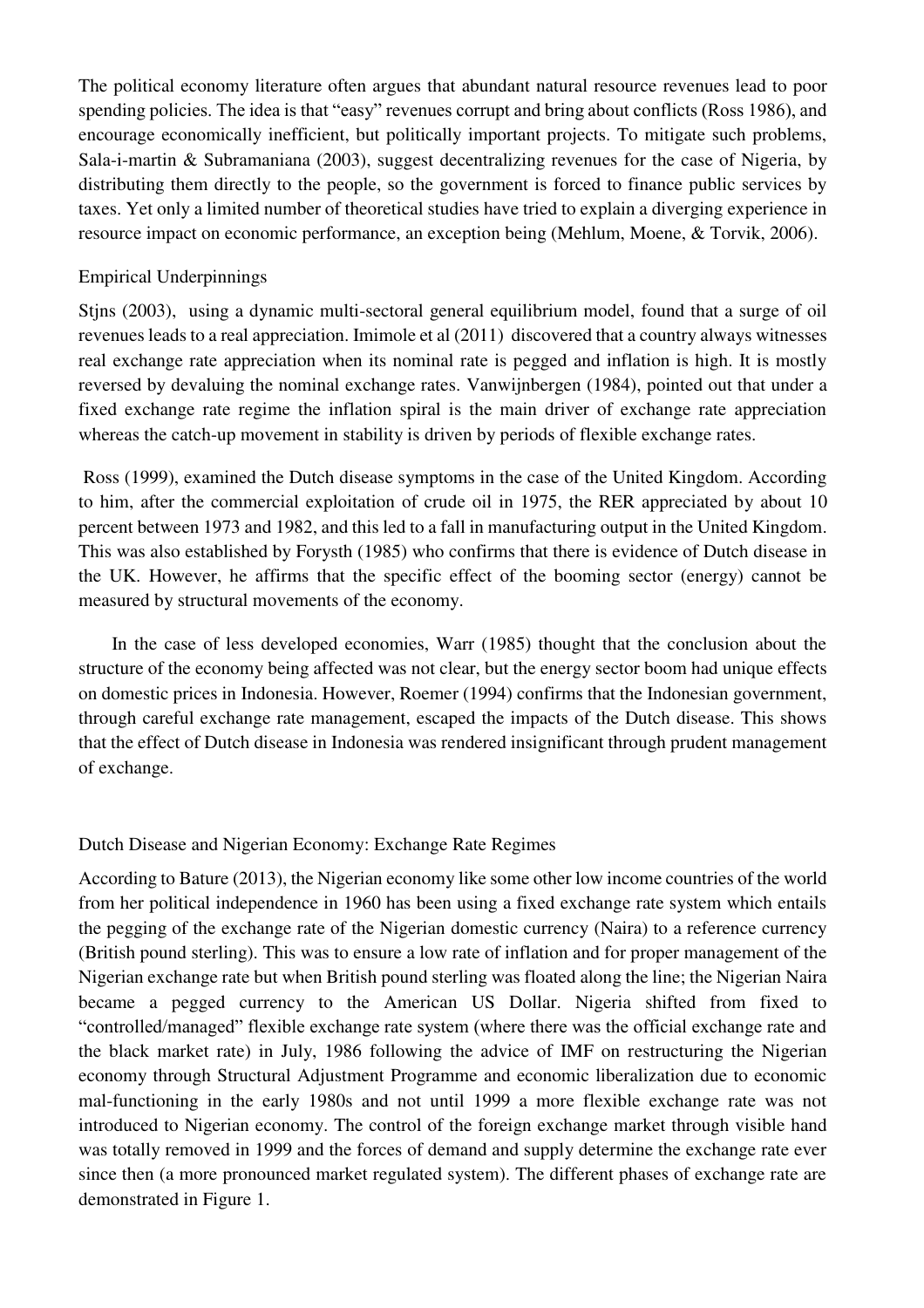The political economy literature often argues that abundant natural resource revenues lead to poor spending policies. The idea is that "easy" revenues corrupt and bring about conflicts (Ross 1986), and encourage economically inefficient, but politically important projects. To mitigate such problems, Sala-i-martin & Subramaniana (2003), suggest decentralizing revenues for the case of Nigeria, by distributing them directly to the people, so the government is forced to finance public services by taxes. Yet only a limited number of theoretical studies have tried to explain a diverging experience in resource impact on economic performance, an exception being (Mehlum, Moene, & Torvik, 2006).

#### Empirical Underpinnings

Stjns (2003), using a dynamic multi-sectoral general equilibrium model, found that a surge of oil revenues leads to a real appreciation. Imimole et al (2011) discovered that a country always witnesses real exchange rate appreciation when its nominal rate is pegged and inflation is high. It is mostly reversed by devaluing the nominal exchange rates. Vanwijnbergen (1984), pointed out that under a fixed exchange rate regime the inflation spiral is the main driver of exchange rate appreciation whereas the catch-up movement in stability is driven by periods of flexible exchange rates.

 Ross (1999), examined the Dutch disease symptoms in the case of the United Kingdom. According to him, after the commercial exploitation of crude oil in 1975, the RER appreciated by about 10 percent between 1973 and 1982, and this led to a fall in manufacturing output in the United Kingdom. This was also established by Forysth (1985) who confirms that there is evidence of Dutch disease in the UK. However, he affirms that the specific effect of the booming sector (energy) cannot be measured by structural movements of the economy.

In the case of less developed economies, Warr (1985) thought that the conclusion about the structure of the economy being affected was not clear, but the energy sector boom had unique effects on domestic prices in Indonesia. However, Roemer (1994) confirms that the Indonesian government, through careful exchange rate management, escaped the impacts of the Dutch disease. This shows that the effect of Dutch disease in Indonesia was rendered insignificant through prudent management of exchange.

### Dutch Disease and Nigerian Economy: Exchange Rate Regimes

According to Bature (2013), the Nigerian economy like some other low income countries of the world from her political independence in 1960 has been using a fixed exchange rate system which entails the pegging of the exchange rate of the Nigerian domestic currency (Naira) to a reference currency (British pound sterling). This was to ensure a low rate of inflation and for proper management of the Nigerian exchange rate but when British pound sterling was floated along the line; the Nigerian Naira became a pegged currency to the American US Dollar. Nigeria shifted from fixed to "controlled/managed" flexible exchange rate system (where there was the official exchange rate and the black market rate) in July, 1986 following the advice of IMF on restructuring the Nigerian economy through Structural Adjustment Programme and economic liberalization due to economic mal-functioning in the early 1980s and not until 1999 a more flexible exchange rate was not introduced to Nigerian economy. The control of the foreign exchange market through visible hand was totally removed in 1999 and the forces of demand and supply determine the exchange rate ever since then (a more pronounced market regulated system). The different phases of exchange rate are demonstrated in [Figure 1.](#page-6-0)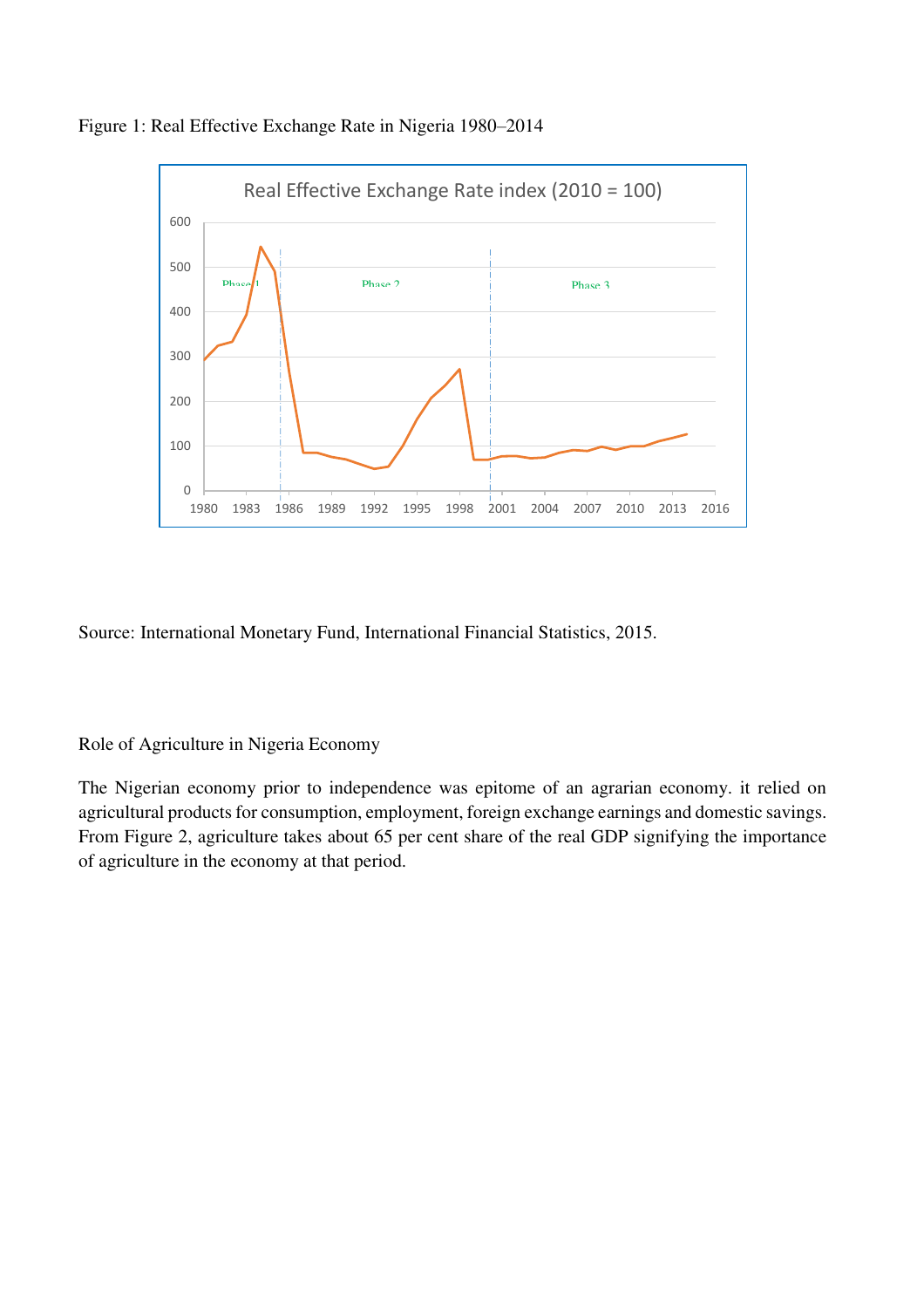<span id="page-6-0"></span>



Source: International Monetary Fund, International Financial Statistics, 2015.

### Role of Agriculture in Nigeria Economy

The Nigerian economy prior to independence was epitome of an agrarian economy. it relied on agricultural products for consumption, employment, foreign exchange earnings and domestic savings. From [Figure 2,](#page-7-0) agriculture takes about 65 per cent share of the real GDP signifying the importance of agriculture in the economy at that period.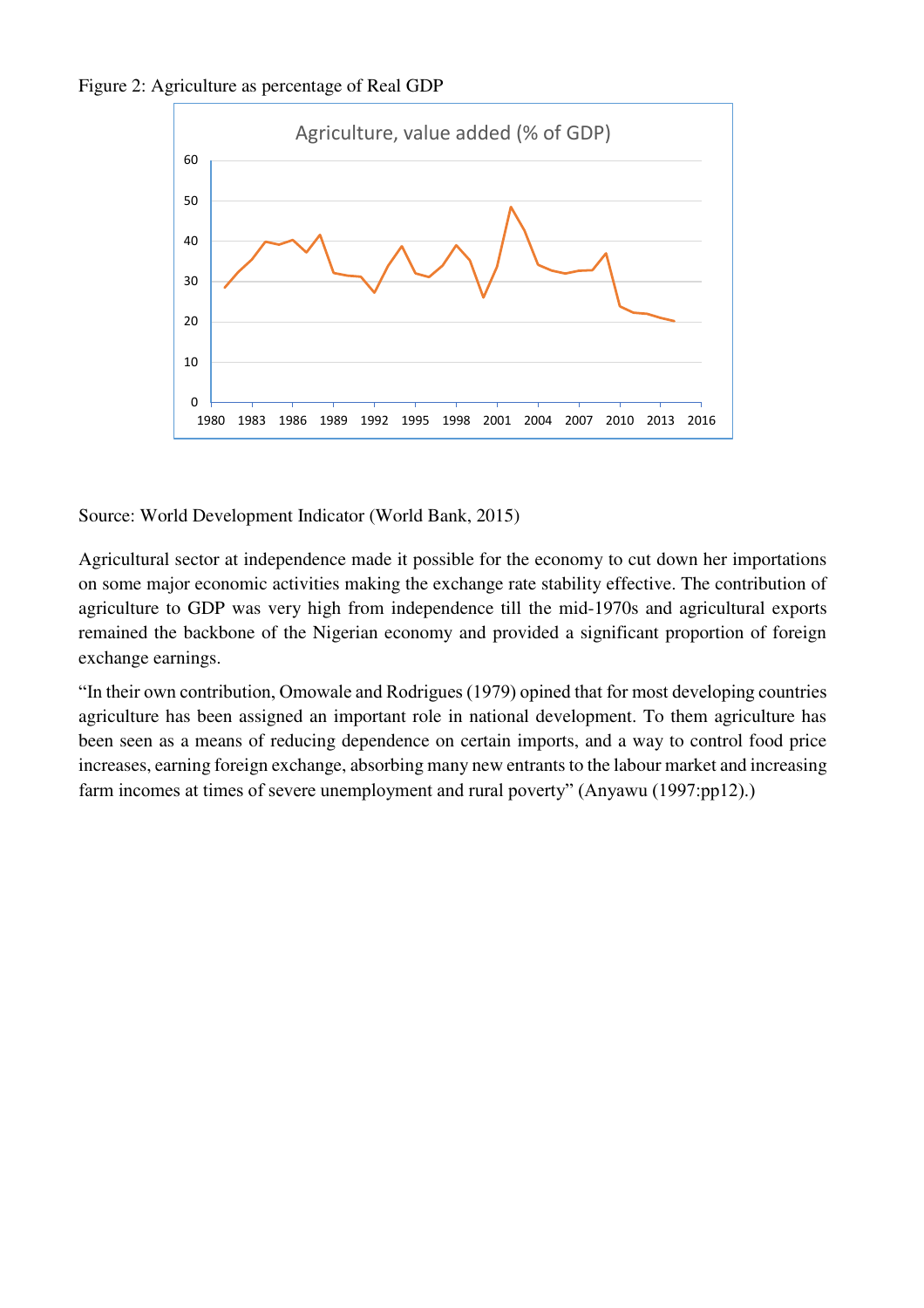<span id="page-7-0"></span>



Source: World Development Indicator (World Bank, 2015)

Agricultural sector at independence made it possible for the economy to cut down her importations on some major economic activities making the exchange rate stability effective. The contribution of agriculture to GDP was very high from independence till the mid-1970s and agricultural exports remained the backbone of the Nigerian economy and provided a significant proportion of foreign exchange earnings.

"In their own contribution, Omowale and Rodrigues (1979) opined that for most developing countries agriculture has been assigned an important role in national development. To them agriculture has been seen as a means of reducing dependence on certain imports, and a way to control food price increases, earning foreign exchange, absorbing many new entrants to the labour market and increasing farm incomes at times of severe unemployment and rural poverty" (Anyawu (1997:pp12).)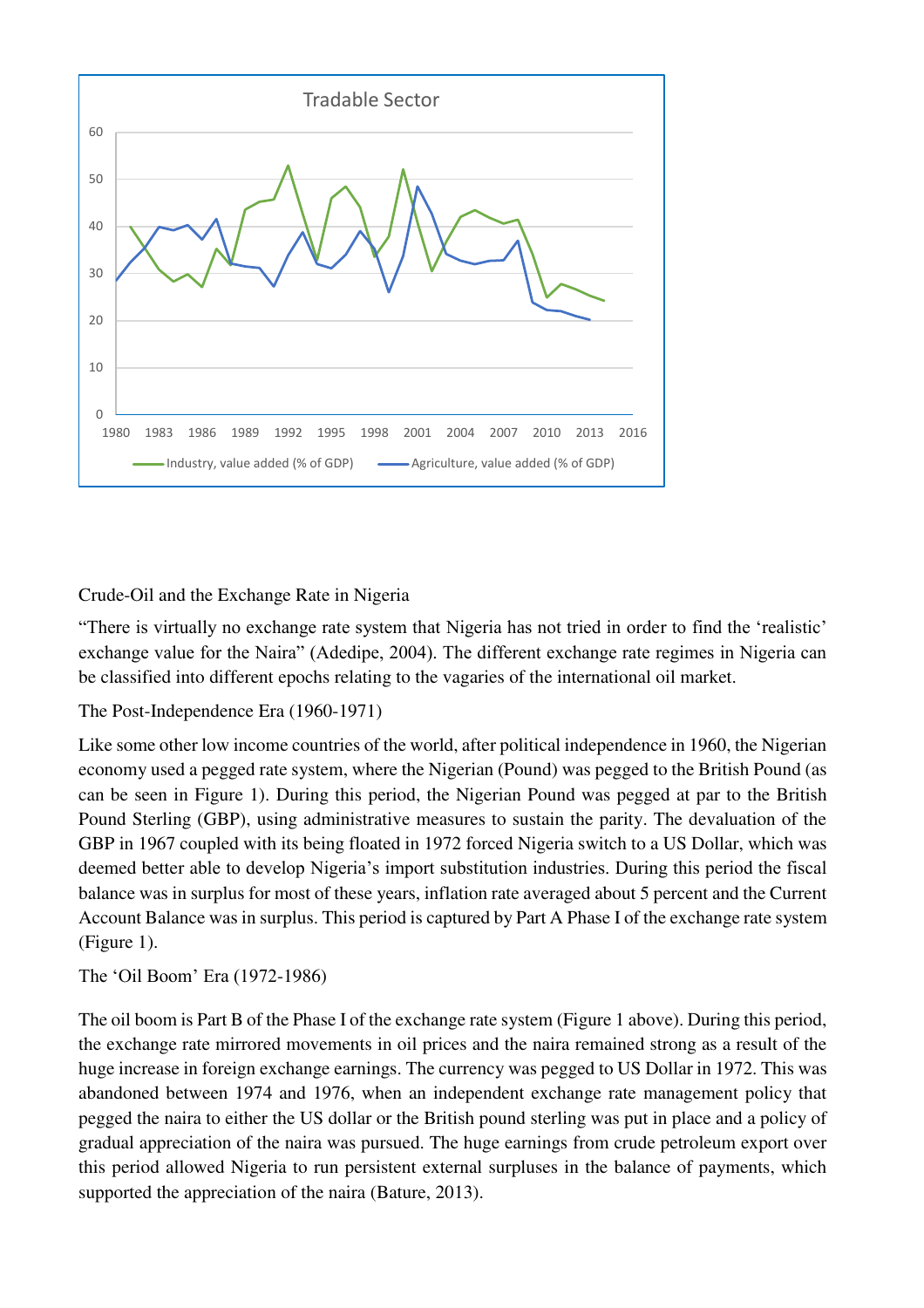

# Crude-Oil and the Exchange Rate in Nigeria

"There is virtually no exchange rate system that Nigeria has not tried in order to find the 'realistic' exchange value for the Naira" (Adedipe, 2004). The different exchange rate regimes in Nigeria can be classified into different epochs relating to the vagaries of the international oil market.

### The Post-Independence Era (1960-1971)

Like some other low income countries of the world, after political independence in 1960, the Nigerian economy used a pegged rate system, where the Nigerian (Pound) was pegged to the British Pound (as can be seen in Figure 1). During this period, the Nigerian Pound was pegged at par to the British Pound Sterling (GBP), using administrative measures to sustain the parity. The devaluation of the GBP in 1967 coupled with its being floated in 1972 forced Nigeria switch to a US Dollar, which was deemed better able to develop Nigeria's import substitution industries. During this period the fiscal balance was in surplus for most of these years, inflation rate averaged about 5 percent and the Current Account Balance was in surplus. This period is captured by Part A Phase I of the exchange rate system (Figure 1).

The 'Oil Boom' Era (1972-1986)

The oil boom is Part B of the Phase I of the exchange rate system (Figure 1 above). During this period, the exchange rate mirrored movements in oil prices and the naira remained strong as a result of the huge increase in foreign exchange earnings. The currency was pegged to US Dollar in 1972. This was abandoned between 1974 and 1976, when an independent exchange rate management policy that pegged the naira to either the US dollar or the British pound sterling was put in place and a policy of gradual appreciation of the naira was pursued. The huge earnings from crude petroleum export over this period allowed Nigeria to run persistent external surpluses in the balance of payments, which supported the appreciation of the naira (Bature, 2013).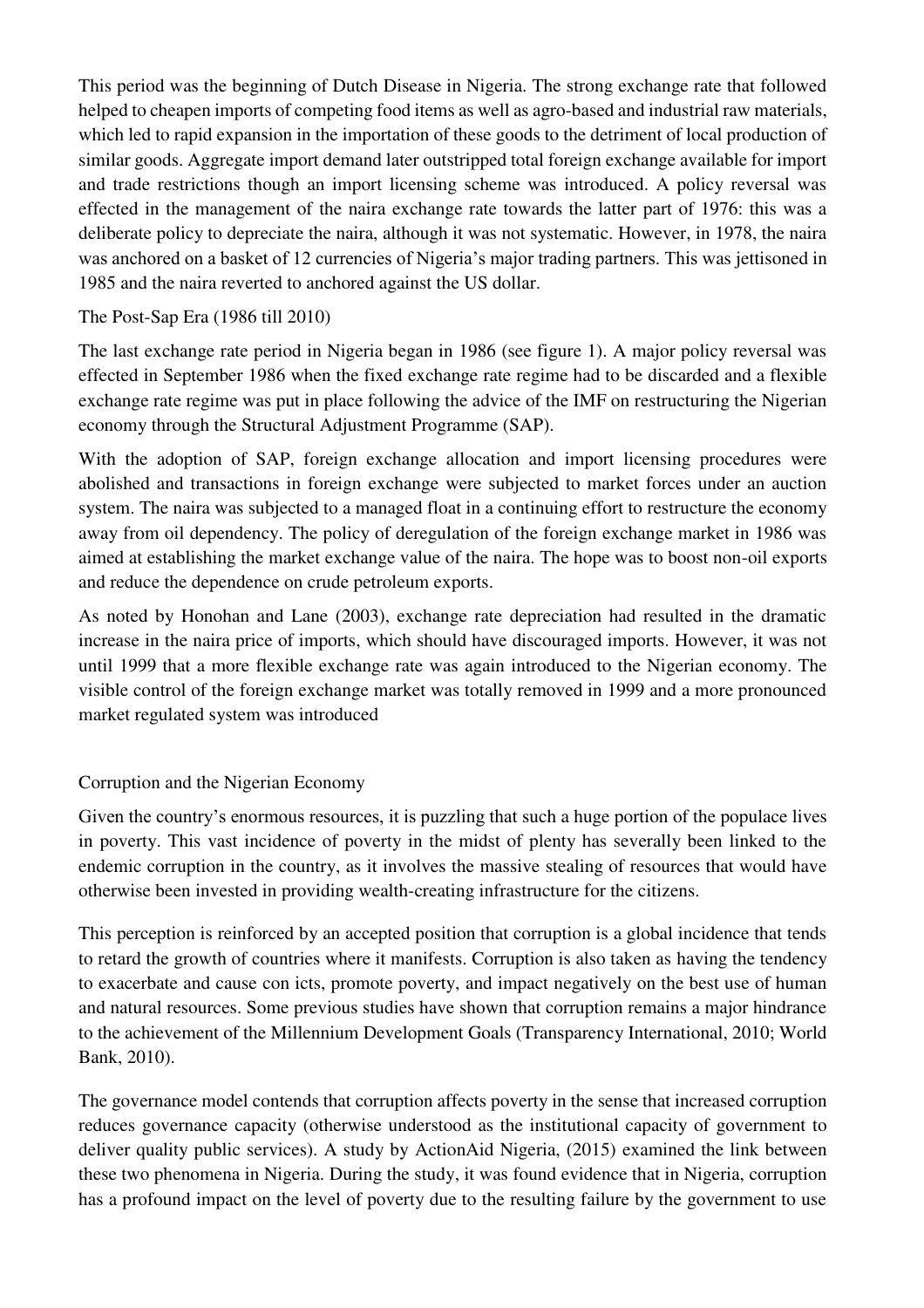This period was the beginning of Dutch Disease in Nigeria. The strong exchange rate that followed helped to cheapen imports of competing food items as well as agro-based and industrial raw materials, which led to rapid expansion in the importation of these goods to the detriment of local production of similar goods. Aggregate import demand later outstripped total foreign exchange available for import and trade restrictions though an import licensing scheme was introduced. A policy reversal was effected in the management of the naira exchange rate towards the latter part of 1976: this was a deliberate policy to depreciate the naira, although it was not systematic. However, in 1978, the naira was anchored on a basket of 12 currencies of Nigeria's major trading partners. This was jettisoned in 1985 and the naira reverted to anchored against the US dollar.

## The Post-Sap Era (1986 till 2010)

The last exchange rate period in Nigeria began in 1986 (see figure 1). A major policy reversal was effected in September 1986 when the fixed exchange rate regime had to be discarded and a flexible exchange rate regime was put in place following the advice of the IMF on restructuring the Nigerian economy through the Structural Adjustment Programme (SAP).

With the adoption of SAP, foreign exchange allocation and import licensing procedures were abolished and transactions in foreign exchange were subjected to market forces under an auction system. The naira was subjected to a managed float in a continuing effort to restructure the economy away from oil dependency. The policy of deregulation of the foreign exchange market in 1986 was aimed at establishing the market exchange value of the naira. The hope was to boost non-oil exports and reduce the dependence on crude petroleum exports.

As noted by Honohan and Lane (2003), exchange rate depreciation had resulted in the dramatic increase in the naira price of imports, which should have discouraged imports. However, it was not until 1999 that a more flexible exchange rate was again introduced to the Nigerian economy. The visible control of the foreign exchange market was totally removed in 1999 and a more pronounced market regulated system was introduced

# Corruption and the Nigerian Economy

Given the country's enormous resources, it is puzzling that such a huge portion of the populace lives in poverty. This vast incidence of poverty in the midst of plenty has severally been linked to the endemic corruption in the country, as it involves the massive stealing of resources that would have otherwise been invested in providing wealth-creating infrastructure for the citizens.

This perception is reinforced by an accepted position that corruption is a global incidence that tends to retard the growth of countries where it manifests. Corruption is also taken as having the tendency to exacerbate and cause con icts, promote poverty, and impact negatively on the best use of human and natural resources. Some previous studies have shown that corruption remains a major hindrance to the achievement of the Millennium Development Goals (Transparency International, 2010; World Bank, 2010).

The governance model contends that corruption affects poverty in the sense that increased corruption reduces governance capacity (otherwise understood as the institutional capacity of government to deliver quality public services). A study by ActionAid Nigeria, (2015) examined the link between these two phenomena in Nigeria. During the study, it was found evidence that in Nigeria, corruption has a profound impact on the level of poverty due to the resulting failure by the government to use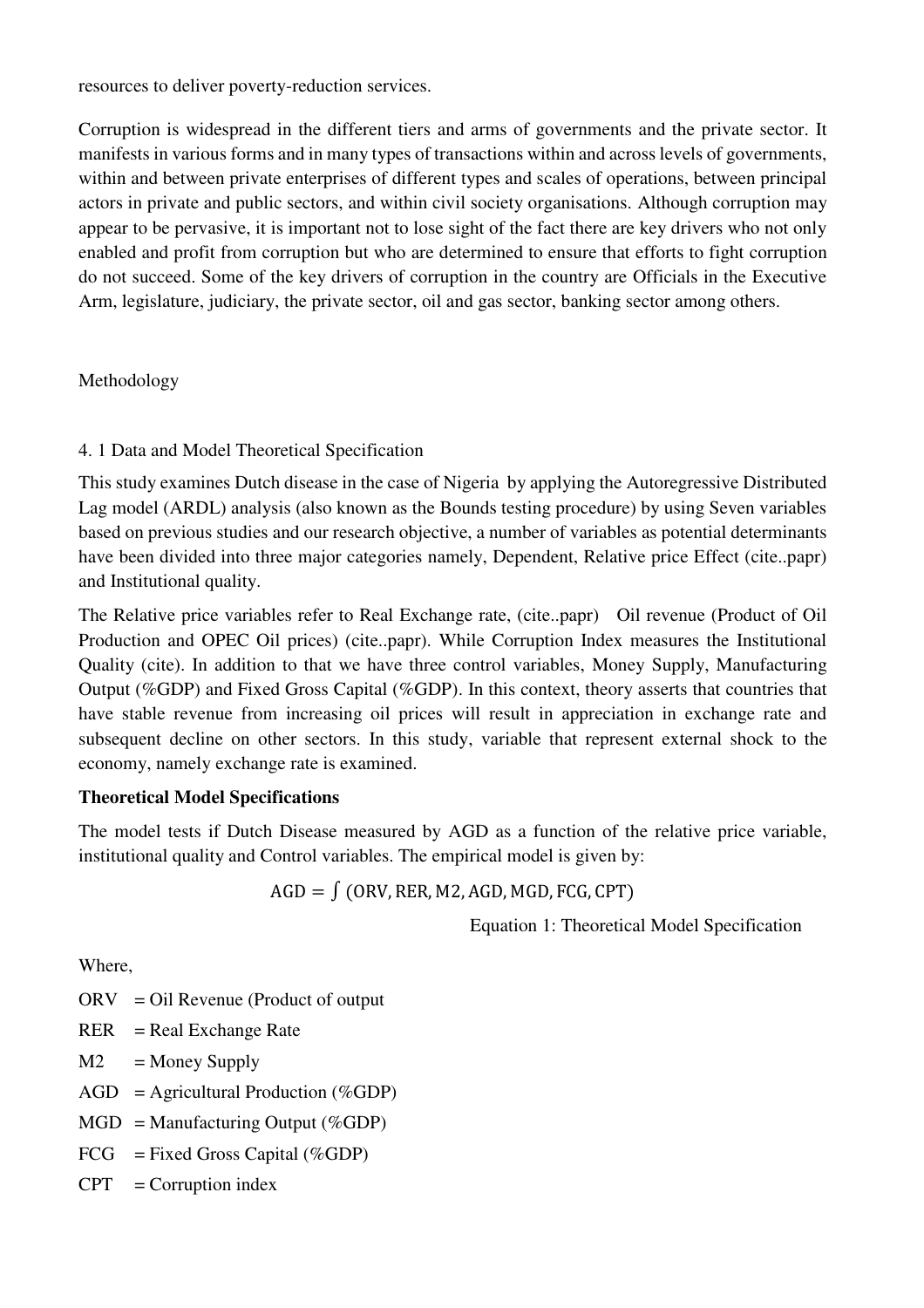resources to deliver poverty-reduction services.

Corruption is widespread in the different tiers and arms of governments and the private sector. It manifests in various forms and in many types of transactions within and across levels of governments, within and between private enterprises of different types and scales of operations, between principal actors in private and public sectors, and within civil society organisations. Although corruption may appear to be pervasive, it is important not to lose sight of the fact there are key drivers who not only enabled and profit from corruption but who are determined to ensure that efforts to fight corruption do not succeed. Some of the key drivers of corruption in the country are Officials in the Executive Arm, legislature, judiciary, the private sector, oil and gas sector, banking sector among others.

### Methodology

# 4. 1 Data and Model Theoretical Specification

This study examines Dutch disease in the case of Nigeria by applying the Autoregressive Distributed Lag model (ARDL) analysis (also known as the Bounds testing procedure) by using Seven variables based on previous studies and our research objective, a number of variables as potential determinants have been divided into three major categories namely, Dependent, Relative price Effect (cite..papr) and Institutional quality.

The Relative price variables refer to Real Exchange rate, (cite..papr) Oil revenue (Product of Oil Production and OPEC Oil prices) (cite..papr). While Corruption Index measures the Institutional Quality (cite). In addition to that we have three control variables, Money Supply, Manufacturing Output (%GDP) and Fixed Gross Capital (%GDP). In this context, theory asserts that countries that have stable revenue from increasing oil prices will result in appreciation in exchange rate and subsequent decline on other sectors. In this study, variable that represent external shock to the economy, namely exchange rate is examined.

# **Theoretical Model Specifications**

The model tests if Dutch Disease measured by AGD as a function of the relative price variable, institutional quality and Control variables. The empirical model is given by:

 $AGD = \int (ORV, RER, M2, AGD, MGD, FCG, CPT)$ 

Equation 1: Theoretical Model Specification

Where,

- ORV = Oil Revenue (Product of output
- $RER$  = Real Exchange Rate
- $M2 =$ Money Supply
- $AGD =$  Agricultural Production (%GDP)
- $MGD =$ Manufacturing Output (%GDP)
- $FCG$  = Fixed Gross Capital (%GDP)
- $CPT = Corruption index$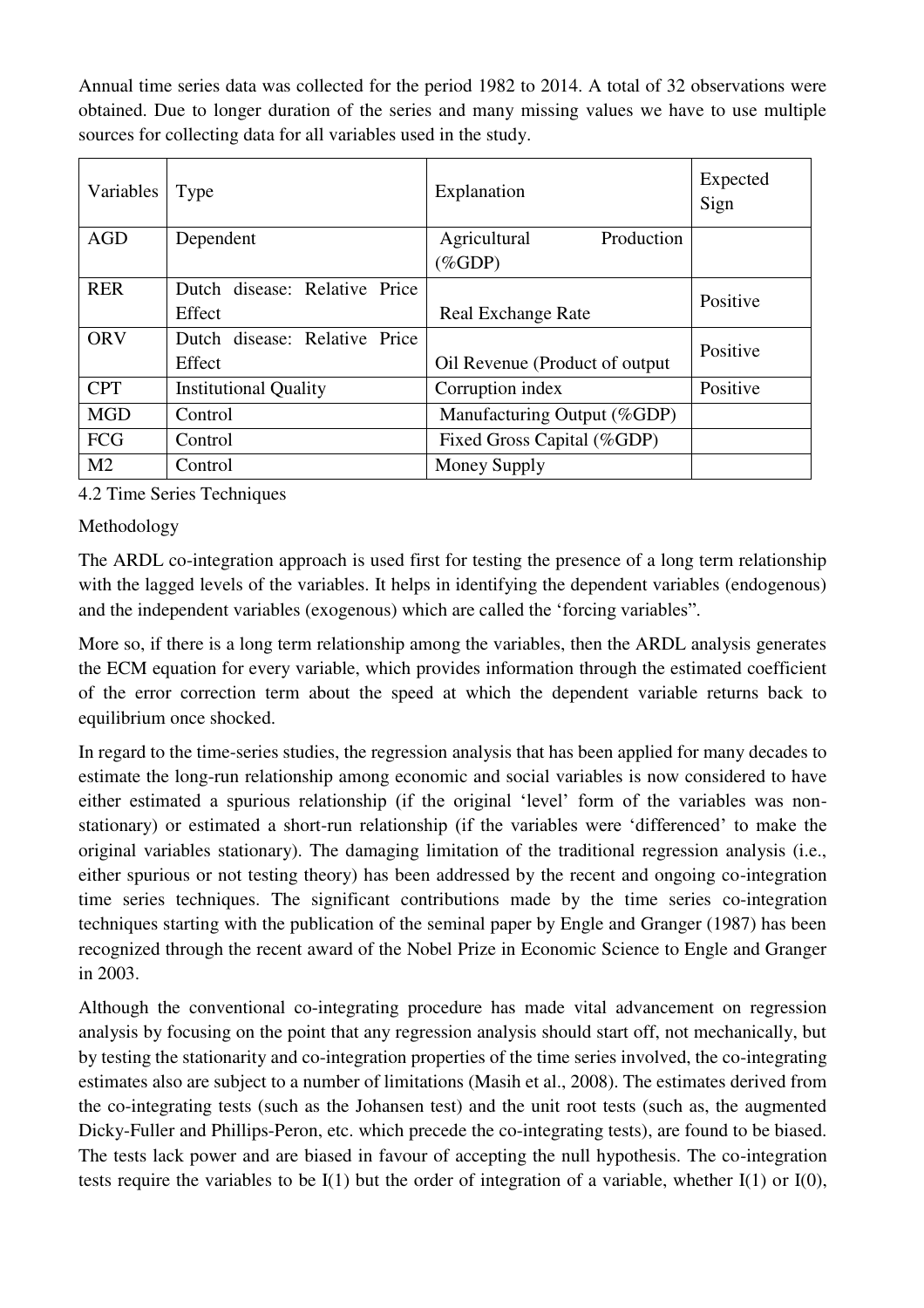Annual time series data was collected for the period 1982 to 2014. A total of 32 observations were obtained. Due to longer duration of the series and many missing values we have to use multiple sources for collecting data for all variables used in the study.

| Variables      | Type                          | Explanation                     | Expected<br>Sign |
|----------------|-------------------------------|---------------------------------|------------------|
| <b>AGD</b>     | Dependent                     | Agricultural<br>Production      |                  |
|                |                               | $(\%GDP)$                       |                  |
| <b>RER</b>     | Dutch disease: Relative Price |                                 | Positive         |
|                | Effect                        | <b>Real Exchange Rate</b>       |                  |
| <b>ORV</b>     | Dutch disease: Relative Price |                                 | Positive         |
|                | Effect                        | Oil Revenue (Product of output) |                  |
| <b>CPT</b>     | <b>Institutional Quality</b>  | Corruption index                | Positive         |
| <b>MGD</b>     | Control                       | Manufacturing Output (%GDP)     |                  |
| <b>FCG</b>     | Control                       | Fixed Gross Capital (%GDP)      |                  |
| M <sub>2</sub> | Control                       | Money Supply                    |                  |

4.2 Time Series Techniques

Methodology

The ARDL co-integration approach is used first for testing the presence of a long term relationship with the lagged levels of the variables. It helps in identifying the dependent variables (endogenous) and the independent variables (exogenous) which are called the 'forcing variables".

More so, if there is a long term relationship among the variables, then the ARDL analysis generates the ECM equation for every variable, which provides information through the estimated coefficient of the error correction term about the speed at which the dependent variable returns back to equilibrium once shocked.

In regard to the time-series studies, the regression analysis that has been applied for many decades to estimate the long-run relationship among economic and social variables is now considered to have either estimated a spurious relationship (if the original 'level' form of the variables was nonstationary) or estimated a short-run relationship (if the variables were 'differenced' to make the original variables stationary). The damaging limitation of the traditional regression analysis (i.e., either spurious or not testing theory) has been addressed by the recent and ongoing co-integration time series techniques. The significant contributions made by the time series co-integration techniques starting with the publication of the seminal paper by Engle and Granger (1987) has been recognized through the recent award of the Nobel Prize in Economic Science to Engle and Granger in 2003.

Although the conventional co-integrating procedure has made vital advancement on regression analysis by focusing on the point that any regression analysis should start off, not mechanically, but by testing the stationarity and co-integration properties of the time series involved, the co-integrating estimates also are subject to a number of limitations (Masih et al., 2008). The estimates derived from the co-integrating tests (such as the Johansen test) and the unit root tests (such as, the augmented Dicky-Fuller and Phillips-Peron, etc. which precede the co-integrating tests), are found to be biased. The tests lack power and are biased in favour of accepting the null hypothesis. The co-integration tests require the variables to be  $I(1)$  but the order of integration of a variable, whether  $I(1)$  or  $I(0)$ ,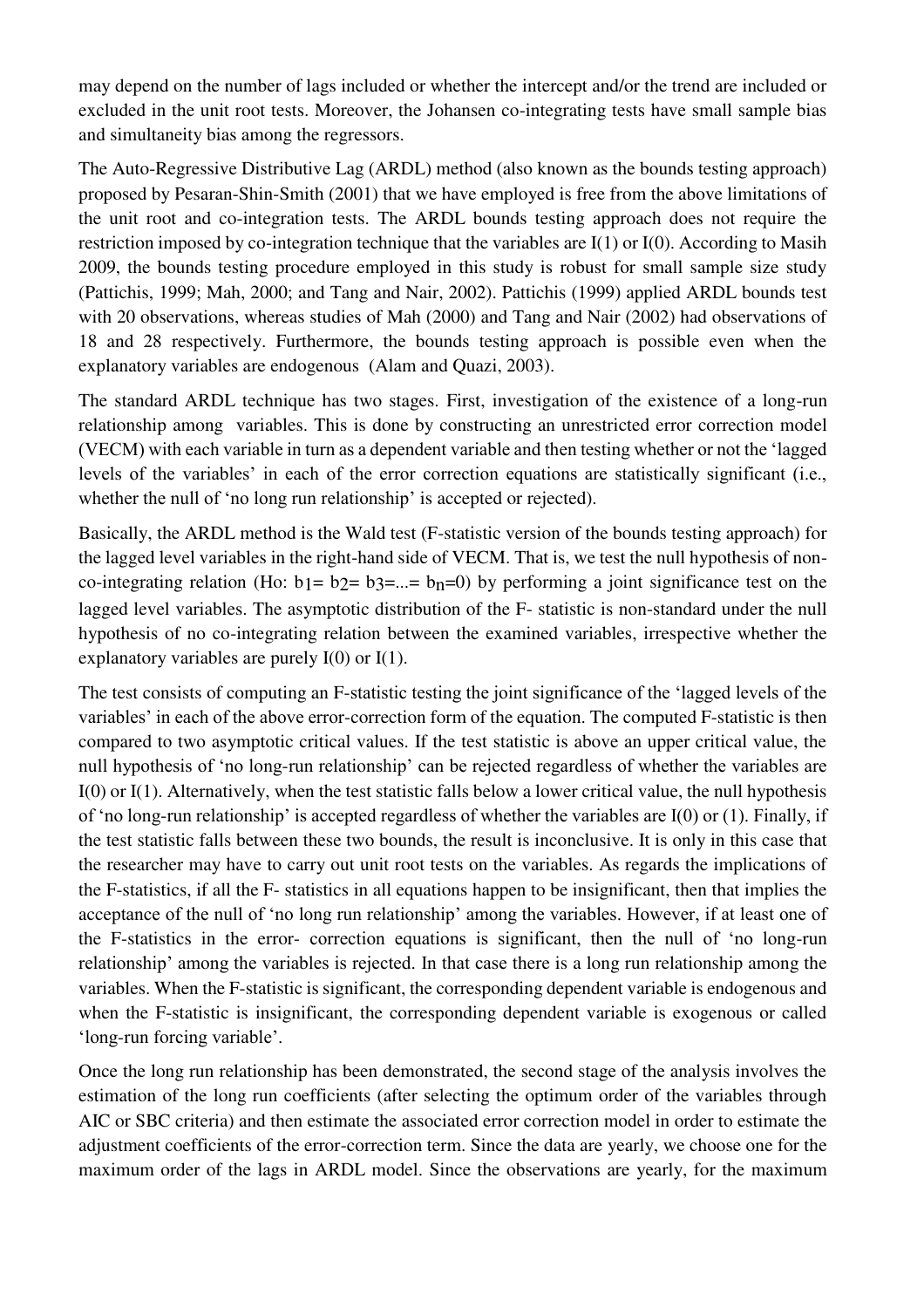may depend on the number of lags included or whether the intercept and/or the trend are included or excluded in the unit root tests. Moreover, the Johansen co-integrating tests have small sample bias and simultaneity bias among the regressors.

The Auto-Regressive Distributive Lag (ARDL) method (also known as the bounds testing approach) proposed by Pesaran-Shin-Smith (2001) that we have employed is free from the above limitations of the unit root and co-integration tests. The ARDL bounds testing approach does not require the restriction imposed by co-integration technique that the variables are I(1) or I(0). According to Masih 2009, the bounds testing procedure employed in this study is robust for small sample size study (Pattichis, 1999; Mah, 2000; and Tang and Nair, 2002). Pattichis (1999) applied ARDL bounds test with 20 observations, whereas studies of Mah (2000) and Tang and Nair (2002) had observations of 18 and 28 respectively. Furthermore, the bounds testing approach is possible even when the explanatory variables are endogenous (Alam and Quazi, 2003).

The standard ARDL technique has two stages. First, investigation of the existence of a long-run relationship among variables. This is done by constructing an unrestricted error correction model (VECM) with each variable in turn as a dependent variable and then testing whether or not the 'lagged levels of the variables' in each of the error correction equations are statistically significant (i.e., whether the null of 'no long run relationship' is accepted or rejected).

Basically, the ARDL method is the Wald test (F-statistic version of the bounds testing approach) for the lagged level variables in the right-hand side of VECM. That is, we test the null hypothesis of nonco-integrating relation (Ho:  $b_1 = b_2 = b_3 = ... = b_n = 0$ ) by performing a joint significance test on the lagged level variables. The asymptotic distribution of the F- statistic is non-standard under the null hypothesis of no co-integrating relation between the examined variables, irrespective whether the explanatory variables are purely I(0) or I(1).

The test consists of computing an F-statistic testing the joint significance of the 'lagged levels of the variables' in each of the above error-correction form of the equation. The computed F-statistic is then compared to two asymptotic critical values. If the test statistic is above an upper critical value, the null hypothesis of 'no long-run relationship' can be rejected regardless of whether the variables are I(0) or I(1). Alternatively, when the test statistic falls below a lower critical value, the null hypothesis of 'no long-run relationship' is accepted regardless of whether the variables are I(0) or (1). Finally, if the test statistic falls between these two bounds, the result is inconclusive. It is only in this case that the researcher may have to carry out unit root tests on the variables. As regards the implications of the F-statistics, if all the F- statistics in all equations happen to be insignificant, then that implies the acceptance of the null of 'no long run relationship' among the variables. However, if at least one of the F-statistics in the error- correction equations is significant, then the null of 'no long-run relationship' among the variables is rejected. In that case there is a long run relationship among the variables. When the F-statistic is significant, the corresponding dependent variable is endogenous and when the F-statistic is insignificant, the corresponding dependent variable is exogenous or called 'long-run forcing variable'.

Once the long run relationship has been demonstrated, the second stage of the analysis involves the estimation of the long run coefficients (after selecting the optimum order of the variables through AIC or SBC criteria) and then estimate the associated error correction model in order to estimate the adjustment coefficients of the error-correction term. Since the data are yearly, we choose one for the maximum order of the lags in ARDL model. Since the observations are yearly, for the maximum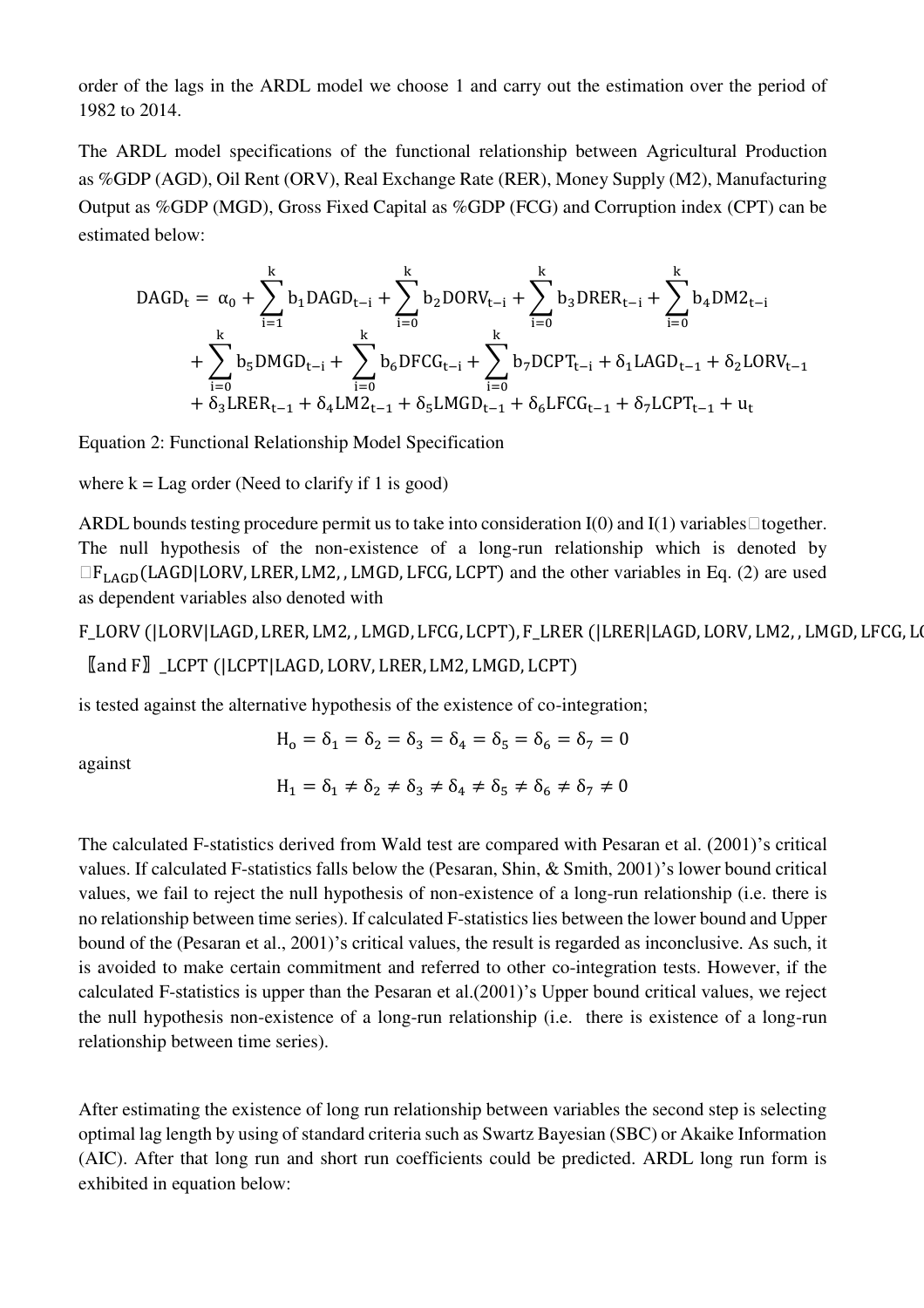order of the lags in the ARDL model we choose 1 and carry out the estimation over the period of 1982 to 2014.

The ARDL model specifications of the functional relationship between Agricultural Production as %GDP (AGD), Oil Rent (ORV), Real Exchange Rate (RER), Money Supply (M2), Manufacturing Output as %GDP (MGD), Gross Fixed Capital as %GDP (FCG) and Corruption index (CPT) can be estimated below:

$$
\begin{aligned} \text{DAGD}_{t} & = \alpha_{0} + \sum_{i=1}^{k} b_{1} \text{DAGD}_{t-i} + \sum_{i=0}^{k} b_{2} \text{DORV}_{t-i} + \sum_{i=0}^{k} b_{3} \text{DREF}_{t-i} + \sum_{i=0}^{k} b_{4} \text{DMZ}_{t-i} \\ & + \sum_{i=0}^{k} b_{5} \text{DMGD}_{t-i} + \sum_{i=0}^{k} b_{6} \text{DFCG}_{t-i} + \sum_{i=0}^{k} b_{7} \text{DCPT}_{t-i} + \delta_{1} \text{LAGD}_{t-1} + \delta_{2} \text{LORV}_{t-1} \\ & + \delta_{3} \text{LREF}_{t-1} + \delta_{4} \text{LM2}_{t-1} + \delta_{5} \text{LMGD}_{t-1} + \delta_{6} \text{LFCG}_{t-1} + \delta_{7} \text{LCPT}_{t-1} + u_{t} \end{aligned}
$$

Equation 2: Functional Relationship Model Specification

where  $k = Lag$  order (Need to clarify if 1 is good)

ARDL bounds testing procedure permit us to take into consideration  $I(0)$  and  $I(1)$  variables  $\Box$  together. The null hypothesis of the non-existence of a long-run relationship which is denoted by  $\Box F_{\rm LAGD}$ (LAGD|LORV, LRER, LM2, , LMGD, LFCG, LCPT) and the other variables in Eq. (2) are used as dependent variables also denoted with

F\_LORV (|LORV|LAGD, LRER, LM2, , LMGD, LFCG, LCPT), F\_LRER (|LRER|LAGD, LORV, LM2, , LMGD, LFCG, L 〖and F〗\_LCPT (|LCPT|LAGD, LORV, LRER, LM2, LMGD, LCPT)

is tested against the alternative hypothesis of the existence of co-integration;

against

 $H_0 = \delta_1 = \delta_2 = \delta_3 = \delta_4 = \delta_5 = \delta_6 = \delta_7 = 0$  $H_1 = \delta_1 \neq \delta_2 \neq \delta_3 \neq \delta_4 \neq \delta_5 \neq \delta_6 \neq \delta_7 \neq 0$ 

The calculated F-statistics derived from Wald test are compared with Pesaran et al. (2001)'s critical values. If calculated F-statistics falls below the (Pesaran, Shin, & Smith, 2001)'s lower bound critical values, we fail to reject the null hypothesis of non-existence of a long-run relationship (i.e. there is no relationship between time series). If calculated F-statistics lies between the lower bound and Upper bound of the (Pesaran et al., 2001)'s critical values, the result is regarded as inconclusive. As such, it is avoided to make certain commitment and referred to other co-integration tests. However, if the calculated F-statistics is upper than the Pesaran et al.(2001)'s Upper bound critical values, we reject the null hypothesis non-existence of a long-run relationship (i.e. there is existence of a long-run relationship between time series).

After estimating the existence of long run relationship between variables the second step is selecting optimal lag length by using of standard criteria such as Swartz Bayesian (SBC) or Akaike Information (AIC). After that long run and short run coefficients could be predicted. ARDL long run form is exhibited in equation below: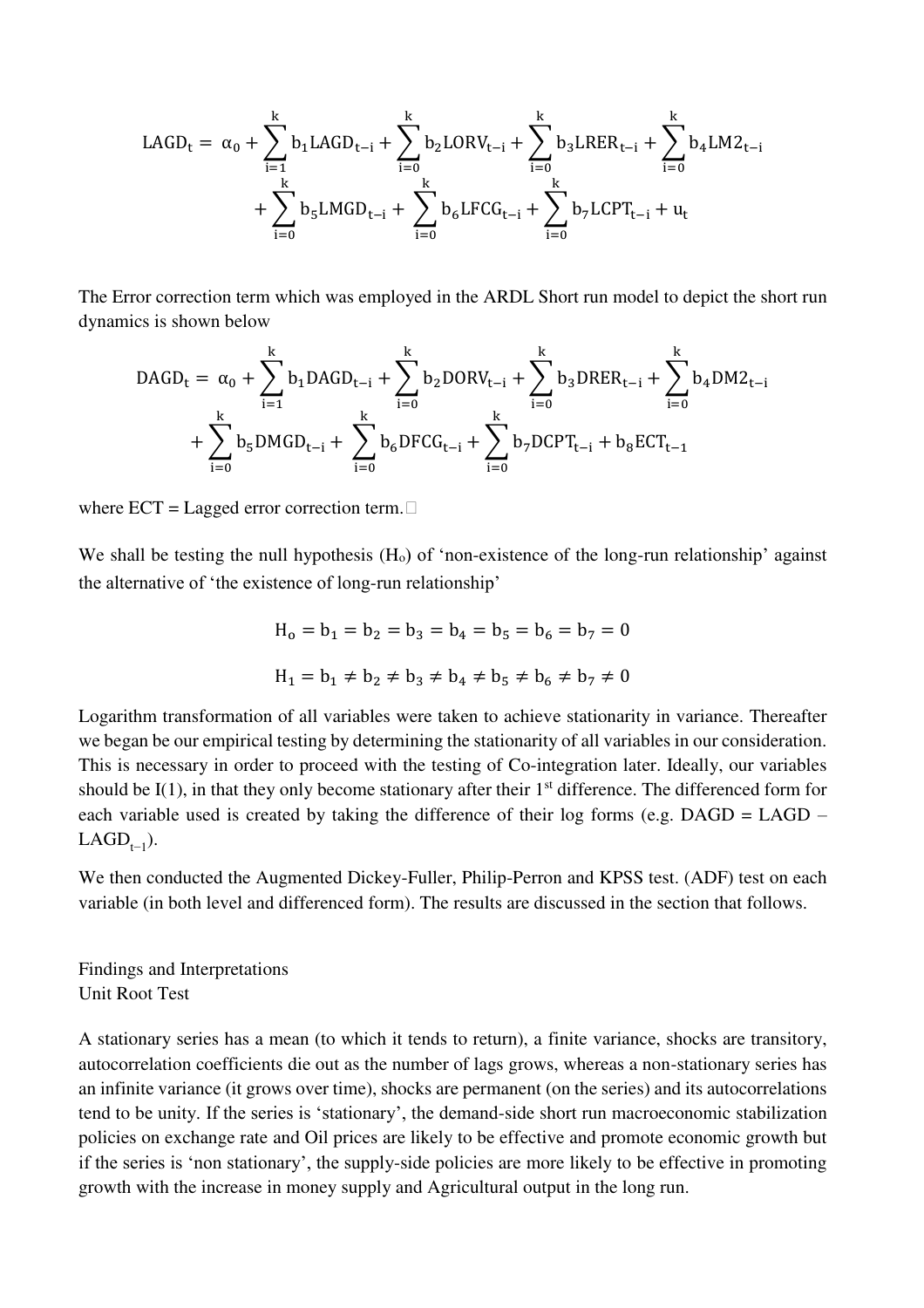$$
LAGD_t = \alpha_0 + \sum_{i=1}^{k} b_1 LAGD_{t-i} + \sum_{i=0}^{k} b_2 LORV_{t-i} + \sum_{i=0}^{k} b_3 LRER_{t-i} + \sum_{i=0}^{k} b_4 LM2_{t-i} + \sum_{i=0}^{k} b_5 LMGD_{t-i} + \sum_{i=0}^{k} b_6 LFCG_{t-i} + \sum_{i=0}^{k} b_7 LCPT_{t-i} + u_t
$$

The Error correction term which was employed in the ARDL Short run model to depict the short run dynamics is shown below

$$
DAGD_{t} = \alpha_{0} + \sum_{i=1}^{k} b_{1}DAGD_{t-i} + \sum_{i=0}^{k} b_{2}DORV_{t-i} + \sum_{i=0}^{k} b_{3}DREF_{t-i} + \sum_{i=0}^{k} b_{4}DM2_{t-i}
$$

$$
+ \sum_{i=0}^{k} b_{5}DMGD_{t-i} + \sum_{i=0}^{k} b_{6}DFCG_{t-i} + \sum_{i=0}^{k} b_{7}DCPT_{t-i} + b_{8}ECT_{t-1}
$$

where  $ECT = Lagged error correction term.$ 

We shall be testing the null hypothesis  $(H<sub>o</sub>)$  of 'non-existence of the long-run relationship' against the alternative of 'the existence of long-run relationship'

$$
H_0 = b_1 = b_2 = b_3 = b_4 = b_5 = b_6 = b_7 = 0
$$
  

$$
H_1 = b_1 \neq b_2 \neq b_3 \neq b_4 \neq b_5 \neq b_6 \neq b_7 \neq 0
$$

Logarithm transformation of all variables were taken to achieve stationarity in variance. Thereafter we began be our empirical testing by determining the stationarity of all variables in our consideration. This is necessary in order to proceed with the testing of Co-integration later. Ideally, our variables should be  $I(1)$ , in that they only become stationary after their  $1<sup>st</sup>$  difference. The differenced form for each variable used is created by taking the difference of their log forms (e.g.  $DAGD = LAGD$  – LAGD<sub> $t-1$ </sub>).

We then conducted the Augmented Dickey-Fuller, Philip-Perron and KPSS test. (ADF) test on each variable (in both level and differenced form). The results are discussed in the section that follows.

Findings and Interpretations Unit Root Test

A stationary series has a mean (to which it tends to return), a finite variance, shocks are transitory, autocorrelation coefficients die out as the number of lags grows, whereas a non-stationary series has an infinite variance (it grows over time), shocks are permanent (on the series) and its autocorrelations tend to be unity. If the series is 'stationary', the demand-side short run macroeconomic stabilization policies on exchange rate and Oil prices are likely to be effective and promote economic growth but if the series is 'non stationary', the supply-side policies are more likely to be effective in promoting growth with the increase in money supply and Agricultural output in the long run.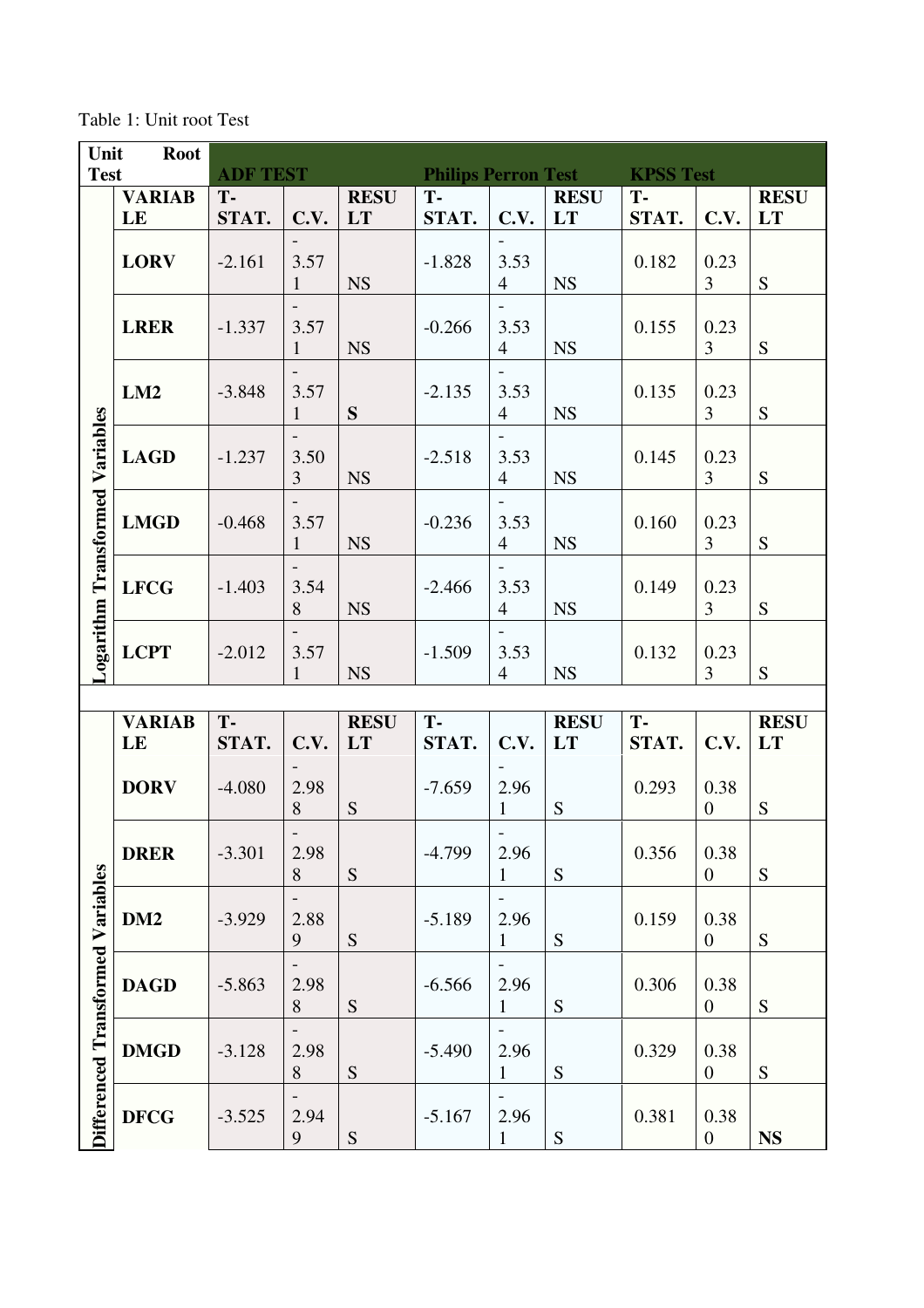Table 1: Unit root Test

| Unit                              | <b>Root</b>         |                 |                      |                          |                            |                                                    |                   |                  |                          |                   |
|-----------------------------------|---------------------|-----------------|----------------------|--------------------------|----------------------------|----------------------------------------------------|-------------------|------------------|--------------------------|-------------------|
| <b>Test</b>                       |                     | <b>ADF TEST</b> |                      |                          | <b>Philips Perron Test</b> |                                                    |                   | <b>KPSS Test</b> |                          |                   |
|                                   | <b>VARIAB</b><br>LE | T-<br>STAT.     | C.V.                 | <b>RESU</b><br><b>LT</b> | T-<br>STAT.                | C.V.                                               | <b>RESU</b><br>LT | T-<br>STAT.      | C.V.                     | <b>RESU</b><br>LT |
|                                   | <b>LORV</b>         | $-2.161$        | 3.57<br>$\mathbf{1}$ | <b>NS</b>                | $-1.828$                   | $\overline{\phantom{a}}$<br>3.53<br>$\overline{4}$ | <b>NS</b>         | 0.182            | 0.23<br>$\overline{3}$   | S                 |
|                                   | <b>LRER</b>         | $-1.337$        | 3.57<br>$\mathbf{1}$ | <b>NS</b>                | $-0.266$                   | $\overline{\phantom{a}}$<br>3.53<br>$\overline{4}$ | <b>NS</b>         | 0.155            | 0.23<br>3                | S                 |
|                                   | LM2                 | $-3.848$        | 3.57<br>$\mathbf{1}$ | S                        | $-2.135$                   | $\overline{\phantom{a}}$<br>3.53<br>$\overline{4}$ | <b>NS</b>         | 0.135            | 0.23<br>$\overline{3}$   | S                 |
|                                   | <b>LAGD</b>         | $-1.237$        | 3.50<br>3            | <b>NS</b>                | $-2.518$                   | $\overline{\phantom{a}}$<br>3.53<br>$\overline{4}$ | <b>NS</b>         | 0.145            | 0.23<br>$\overline{3}$   | S                 |
| Logarithm Transformed Variables   | <b>LMGD</b>         | $-0.468$        | 3.57<br>$\mathbf{1}$ | <b>NS</b>                | $-0.236$                   | $\overline{\phantom{a}}$<br>3.53<br>$\overline{4}$ | <b>NS</b>         | 0.160            | 0.23<br>3                | S                 |
|                                   | <b>LFCG</b>         | $-1.403$        | 3.54<br>8            | <b>NS</b>                | $-2.466$                   | 3.53<br>$\overline{4}$                             | <b>NS</b>         | 0.149            | 0.23<br>3                | S                 |
|                                   | <b>LCPT</b>         | $-2.012$        | 3.57<br>1            | <b>NS</b>                | $-1.509$                   | $\overline{\phantom{a}}$<br>3.53<br>$\overline{4}$ | <b>NS</b>         | 0.132            | 0.23<br>3                | S                 |
|                                   |                     |                 |                      |                          |                            |                                                    |                   |                  |                          |                   |
|                                   | <b>VARIAB</b><br>LE | T-<br>STAT.     | C.V.                 | <b>RESU</b><br><b>LT</b> | T-<br>STAT.                | C.V.                                               | <b>RESU</b><br>LT | T-<br>STAT.      | C.V.                     | <b>RESU</b><br>LT |
|                                   | <b>DORV</b>         | $-4.080$        | 2.98<br>8            | S                        | $-7.659$                   | 2.96<br>$\mathbf{1}$                               | ${\bf S}$         | 0.293            | 0.38<br>$\boldsymbol{0}$ | S                 |
|                                   | <b>DRER</b>         | $-3.301$        | 2.98<br>8            | ${\mathbf S}$            | $-4.799$                   | 2.96<br>$\mathbf{1}$                               | ${\mathbf S}$     | 0.356            | 0.38<br>$\boldsymbol{0}$ | S                 |
|                                   | DM <sub>2</sub>     | $-3.929$        | 2.88<br>9            | S                        | $-5.189$                   | 2.96<br>1                                          | S                 | 0.159            | 0.38<br>$\boldsymbol{0}$ | S                 |
|                                   | <b>DAGD</b>         | $-5.863$        | 2.98<br>8            | S                        | $-6.566$                   | 2.96<br>$\mathbf{1}$                               | S                 | 0.306            | 0.38<br>$\boldsymbol{0}$ | S                 |
| Differenced Transformed Variables | <b>DMGD</b>         | $-3.128$        | 2.98<br>8            | S                        | $-5.490$                   | $\overline{\phantom{0}}$<br>2.96<br>$\mathbf{1}$   | ${\bf S}$         | 0.329            | 0.38<br>$\boldsymbol{0}$ | S                 |
|                                   | <b>DFCG</b>         | $-3.525$        | 2.94<br>9            | ${\mathbf S}$            | $-5.167$                   | 2.96<br>$\mathbf{1}$                               | ${\mathbf S}$     | 0.381            | 0.38<br>$\boldsymbol{0}$ | <b>NS</b>         |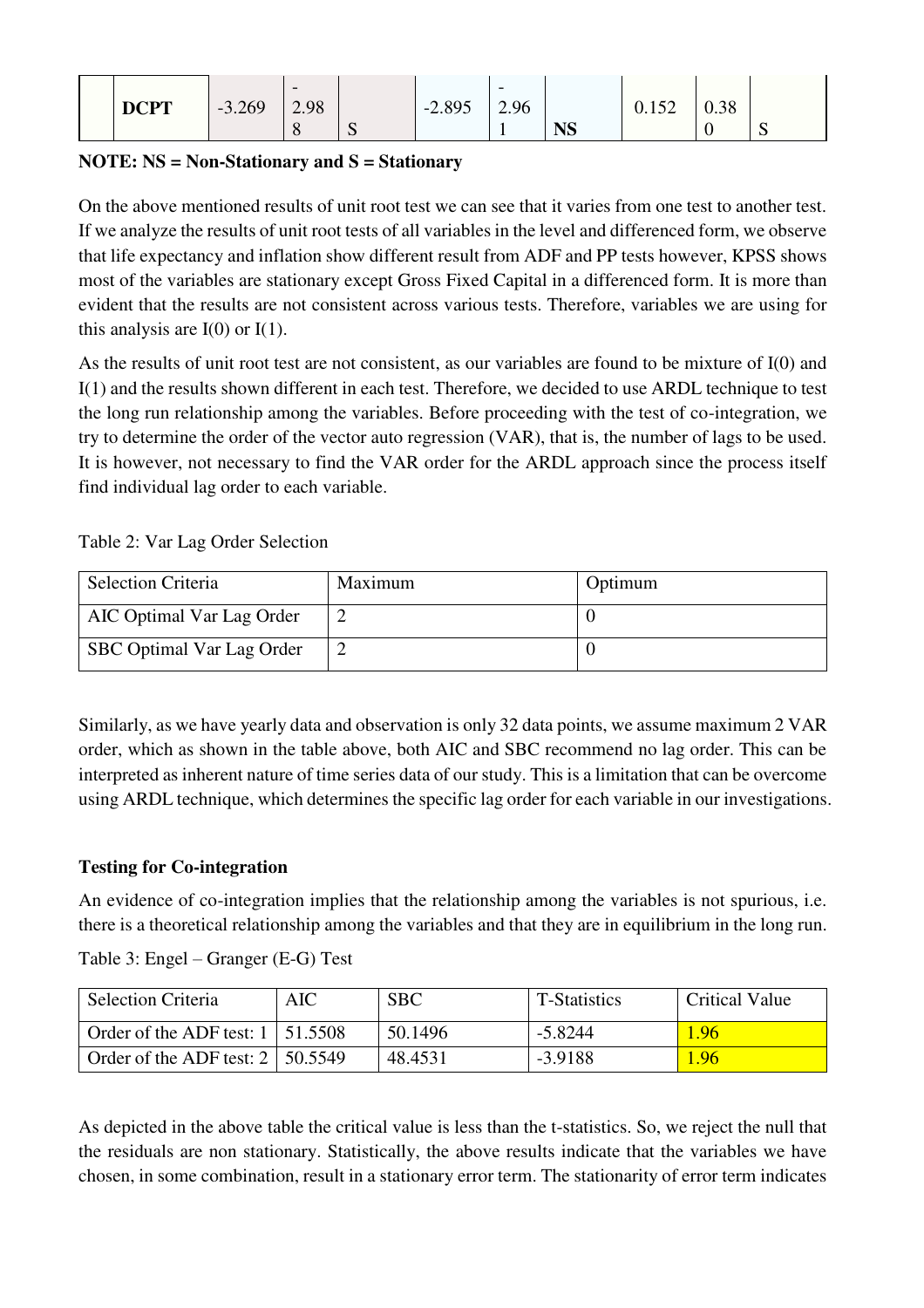| <b>DCPT</b> | $-3.269$ | $\overline{\phantom{0}}$<br>2.98 |   | $-2.895$ | $\overline{\phantom{0}}$<br>2.96 |           | 15つ<br>0.152 | 0.38 |                     |
|-------------|----------|----------------------------------|---|----------|----------------------------------|-----------|--------------|------|---------------------|
|             |          | $\circ$                          | ◡ |          |                                  | <b>NS</b> |              | ◡    | $\overline{ }$<br>◡ |

#### **NOTE: NS = Non-Stationary and S = Stationary**

On the above mentioned results of unit root test we can see that it varies from one test to another test. If we analyze the results of unit root tests of all variables in the level and differenced form, we observe that life expectancy and inflation show different result from ADF and PP tests however, KPSS shows most of the variables are stationary except Gross Fixed Capital in a differenced form. It is more than evident that the results are not consistent across various tests. Therefore, variables we are using for this analysis are  $I(0)$  or  $I(1)$ .

As the results of unit root test are not consistent, as our variables are found to be mixture of I(0) and I(1) and the results shown different in each test. Therefore, we decided to use ARDL technique to test the long run relationship among the variables. Before proceeding with the test of co-integration, we try to determine the order of the vector auto regression (VAR), that is, the number of lags to be used. It is however, not necessary to find the VAR order for the ARDL approach since the process itself find individual lag order to each variable.

Table 2: Var Lag Order Selection

| <b>Selection Criteria</b> | Maximum | Optimum |
|---------------------------|---------|---------|
| AIC Optimal Var Lag Order |         |         |
| SBC Optimal Var Lag Order |         |         |

Similarly, as we have yearly data and observation is only 32 data points, we assume maximum 2 VAR order, which as shown in the table above, both AIC and SBC recommend no lag order. This can be interpreted as inherent nature of time series data of our study. This is a limitation that can be overcome using ARDL technique, which determines the specific lag order for each variable in our investigations.

### **Testing for Co-integration**

An evidence of co-integration implies that the relationship among the variables is not spurious, i.e. there is a theoretical relationship among the variables and that they are in equilibrium in the long run.

| <b>Selection Criteria</b>               | AIC | <b>SBC</b> | T-Statistics | Critical Value |
|-----------------------------------------|-----|------------|--------------|----------------|
| Order of the ADF test: $1 \mid 51.5508$ |     | 50.1496    | $-5.8244$    | 1.96           |
| Order of the ADF test: $2 \mid 50.5549$ |     | 48.4531    | $-3.9188$    | 1.96           |

Table 3: Engel – Granger (E-G) Test

As depicted in the above table the critical value is less than the t-statistics. So, we reject the null that the residuals are non stationary. Statistically, the above results indicate that the variables we have chosen, in some combination, result in a stationary error term. The stationarity of error term indicates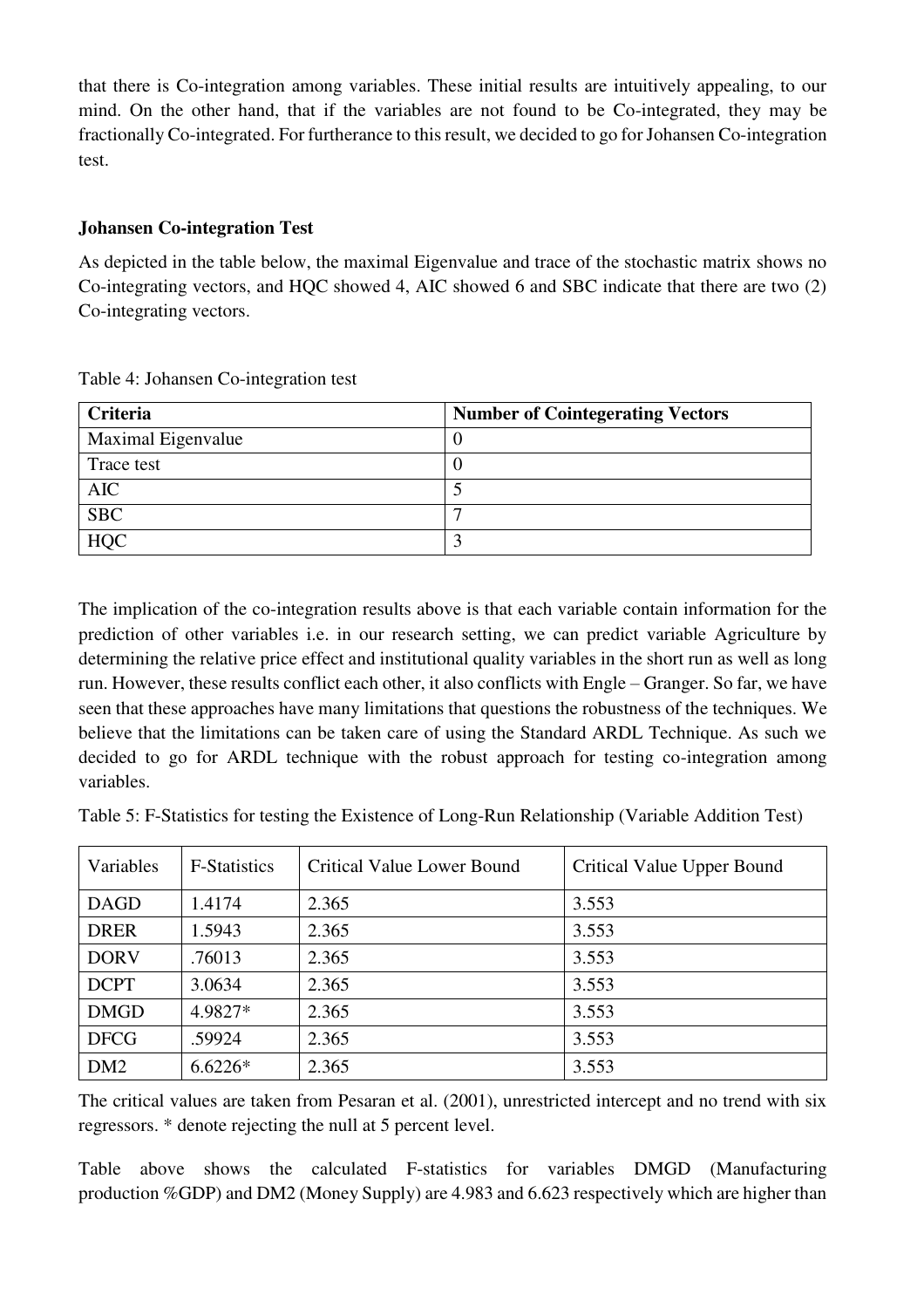that there is Co-integration among variables. These initial results are intuitively appealing, to our mind. On the other hand, that if the variables are not found to be Co-integrated, they may be fractionally Co-integrated. For furtherance to this result, we decided to go for Johansen Co-integration test.

#### **Johansen Co-integration Test**

As depicted in the table below, the maximal Eigenvalue and trace of the stochastic matrix shows no Co-integrating vectors, and HQC showed 4, AIC showed 6 and SBC indicate that there are two (2) Co-integrating vectors.

| <b>Criteria</b>    | <b>Number of Cointegerating Vectors</b> |
|--------------------|-----------------------------------------|
| Maximal Eigenvalue |                                         |
| Trace test         |                                         |
| <b>AIC</b>         |                                         |
| <b>SBC</b>         |                                         |
| <b>HQC</b>         | ◠                                       |

Table 4: Johansen Co-integration test

The implication of the co-integration results above is that each variable contain information for the prediction of other variables i.e. in our research setting, we can predict variable Agriculture by determining the relative price effect and institutional quality variables in the short run as well as long run. However, these results conflict each other, it also conflicts with Engle – Granger. So far, we have seen that these approaches have many limitations that questions the robustness of the techniques. We believe that the limitations can be taken care of using the Standard ARDL Technique. As such we decided to go for ARDL technique with the robust approach for testing co-integration among variables.

Table 5: F-Statistics for testing the Existence of Long-Run Relationship (Variable Addition Test)

| Variables       | <b>F-Statistics</b> | <b>Critical Value Lower Bound</b> | <b>Critical Value Upper Bound</b> |
|-----------------|---------------------|-----------------------------------|-----------------------------------|
| <b>DAGD</b>     | 1.4174              | 2.365                             | 3.553                             |
| <b>DRER</b>     | 1.5943              | 2.365                             | 3.553                             |
| <b>DORV</b>     | .76013              | 2.365                             | 3.553                             |
| <b>DCPT</b>     | 3.0634              | 2.365                             | 3.553                             |
| <b>DMGD</b>     | 4.9827*             | 2.365                             | 3.553                             |
| <b>DFCG</b>     | .59924              | 2.365                             | 3.553                             |
| DM <sub>2</sub> | $6.6226*$           | 2.365                             | 3.553                             |

The critical values are taken from Pesaran et al. (2001), unrestricted intercept and no trend with six regressors. \* denote rejecting the null at 5 percent level.

Table above shows the calculated F-statistics for variables DMGD (Manufacturing production %GDP) and DM2 (Money Supply) are 4.983 and 6.623 respectively which are higher than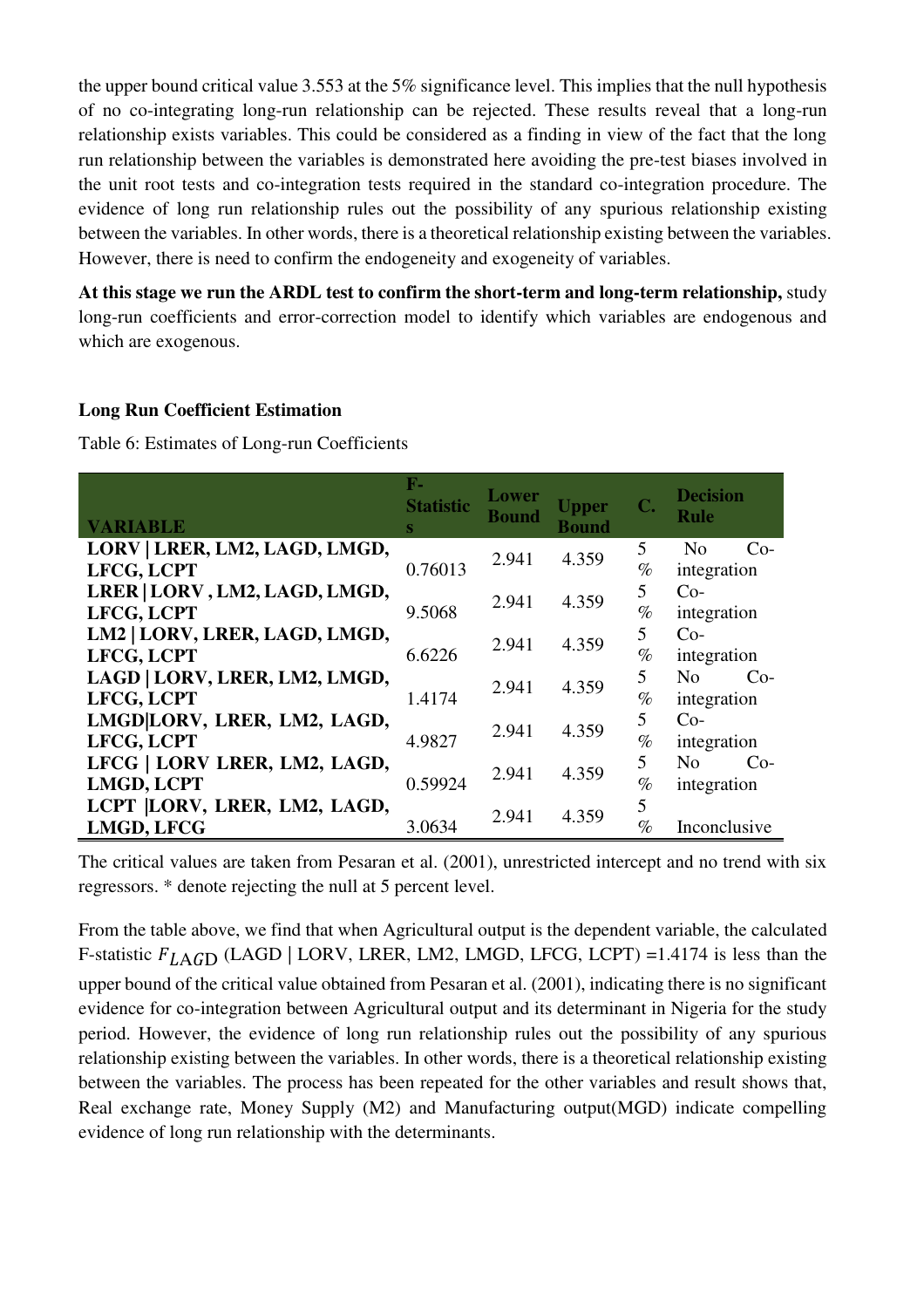the upper bound critical value 3.553 at the 5% significance level. This implies that the null hypothesis of no co-integrating long-run relationship can be rejected. These results reveal that a long-run relationship exists variables. This could be considered as a finding in view of the fact that the long run relationship between the variables is demonstrated here avoiding the pre-test biases involved in the unit root tests and co-integration tests required in the standard co-integration procedure. The evidence of long run relationship rules out the possibility of any spurious relationship existing between the variables. In other words, there is a theoretical relationship existing between the variables. However, there is need to confirm the endogeneity and exogeneity of variables.

**At this stage we run the ARDL test to confirm the short-term and long-term relationship,** study long-run coefficients and error-correction model to identify which variables are endogenous and which are exogenous.

#### **Long Run Coefficient Estimation**

Table 6: Estimates of Long-run Coefficients

| <b>VARIABLE</b>                                   | $\mathbf{F}_{-}$<br><b>Statistic</b><br>S | Lower<br>Bound | <b>Upper</b><br><b>Bound</b> | C.        | <b>Decision</b><br><b>Rule</b>         |
|---------------------------------------------------|-------------------------------------------|----------------|------------------------------|-----------|----------------------------------------|
| LORV   LRER, LM2, LAGD, LMGD,                     |                                           | 2.941          | 4.359                        | 5         | $Co-$<br>N <sub>0</sub>                |
| LFCG, LCPT                                        | 0.76013                                   |                |                              | $\%$      | integration                            |
| LRER   LORV, LM2, LAGD, LMGD,<br>LFCG, LCPT       | 9.5068                                    | 2.941          | 4.359                        | 5<br>$\%$ | $Co-$<br>integration                   |
| LM2   LORV, LRER, LAGD, LMGD,<br>LFCG, LCPT       | 6.6226                                    | 2.941          | 4.359                        | 5<br>$\%$ | $Co-$<br>integration                   |
| LAGD   LORV, LRER, LM2, LMGD,<br>LFCG, LCPT       | 1.4174                                    | 2.941          | 4.359                        | 5<br>$\%$ | No<br>$Co-$<br>integration             |
| LMGD LORV, LRER, LM2, LAGD,<br>LFCG, LCPT         | 4.9827                                    | 2.941          | 4.359                        | 5<br>$\%$ | $Co-$<br>integration                   |
| LFCG   LORV LRER, LM2, LAGD,<br><b>LMGD, LCPT</b> | 0.59924                                   | 2.941          | 4.359                        | 5<br>$\%$ | N <sub>0</sub><br>$Co-$<br>integration |
| LCPT  LORV, LRER, LM2, LAGD,<br><b>LMGD, LFCG</b> | 3.0634                                    | 2.941          | 4.359                        | 5<br>$\%$ | Inconclusive                           |

The critical values are taken from Pesaran et al. (2001), unrestricted intercept and no trend with six regressors. \* denote rejecting the null at 5 percent level.

From the table above, we find that when Agricultural output is the dependent variable, the calculated F-statistic  $F_{LAGD}$  (LAGD | LORV, LRER, LM2, LMGD, LFCG, LCPT) =1.4174 is less than the upper bound of the critical value obtained from Pesaran et al. (2001), indicating there is no significant evidence for co-integration between Agricultural output and its determinant in Nigeria for the study period. However, the evidence of long run relationship rules out the possibility of any spurious relationship existing between the variables. In other words, there is a theoretical relationship existing between the variables. The process has been repeated for the other variables and result shows that, Real exchange rate, Money Supply (M2) and Manufacturing output(MGD) indicate compelling evidence of long run relationship with the determinants.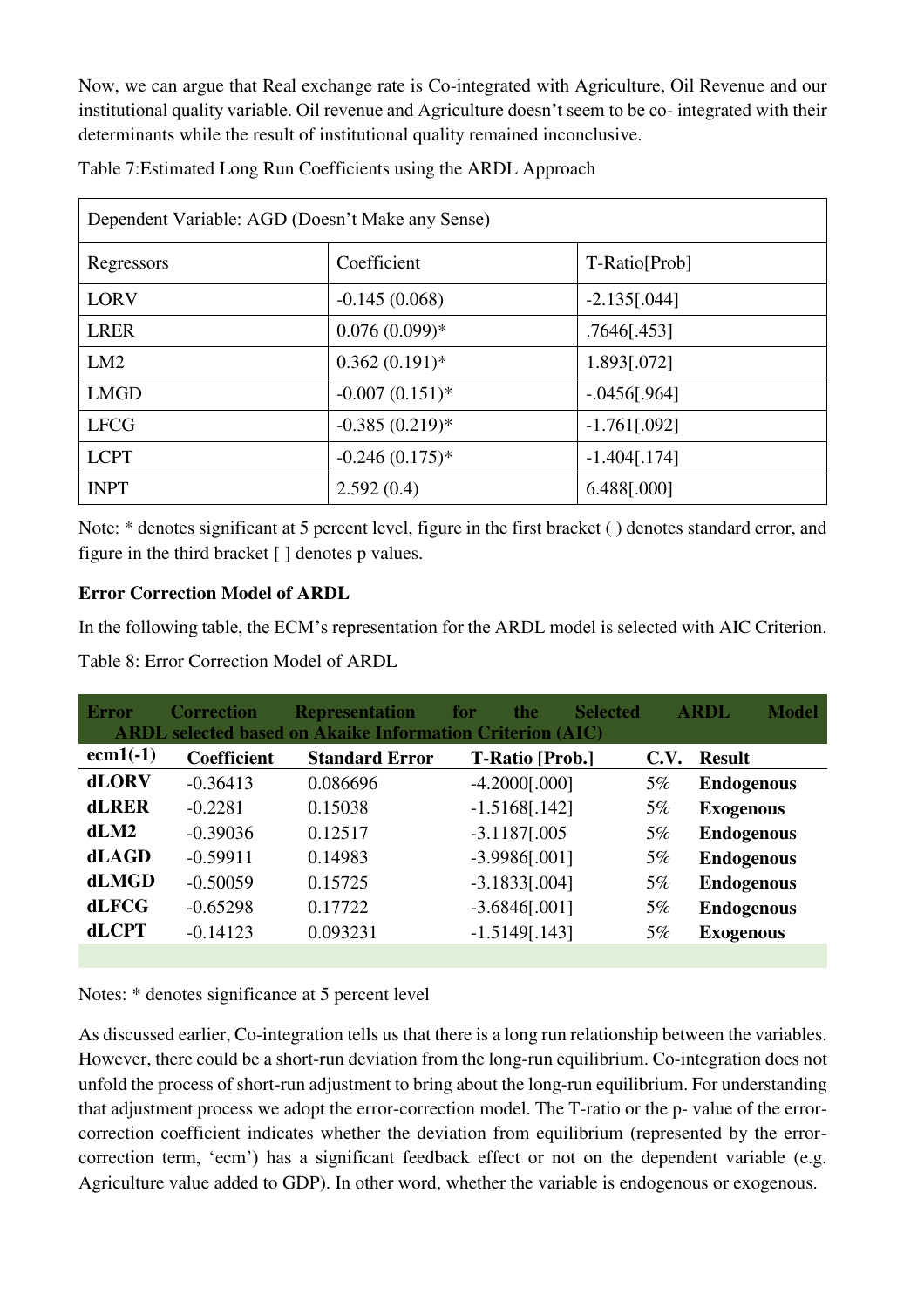Now, we can argue that Real exchange rate is Co-integrated with Agriculture, Oil Revenue and our institutional quality variable. Oil revenue and Agriculture doesn't seem to be co- integrated with their determinants while the result of institutional quality remained inconclusive.

| Table 7: Estimated Long Run Coefficients using the ARDL Approach |  |
|------------------------------------------------------------------|--|
|------------------------------------------------------------------|--|

| Dependent Variable: AGD (Doesn't Make any Sense) |                   |                 |  |  |  |  |
|--------------------------------------------------|-------------------|-----------------|--|--|--|--|
| Regressors                                       | Coefficient       | T-Ratio[Prob]   |  |  |  |  |
| <b>LORV</b>                                      | $-0.145(0.068)$   | $-2.135[.044]$  |  |  |  |  |
| <b>LRER</b>                                      | $0.076(0.099)*$   | .7646[.453]     |  |  |  |  |
| LM2                                              | $0.362(0.191)$ *  | 1.893[.072]     |  |  |  |  |
| <b>LMGD</b>                                      | $-0.007(0.151)$ * | $-.0456$ [.964] |  |  |  |  |
| <b>LFCG</b>                                      | $-0.385(0.219)*$  | $-1.761$ [.092] |  |  |  |  |
| <b>LCPT</b>                                      | $-0.246(0.175)*$  | $-1.404$ [.174] |  |  |  |  |
| <b>INPT</b>                                      | 2.592(0.4)        | 6.488[.000]     |  |  |  |  |

Note: \* denotes significant at 5 percent level, figure in the first bracket ( ) denotes standard error, and figure in the third bracket [ ] denotes p values.

# **Error Correction Model of ARDL**

In the following table, the ECM's representation for the ARDL model is selected with AIC Criterion. Table 8: Error Correction Model of ARDL

| <b>Error</b> | <b>Correction</b>  | <b>Representation</b> | <b>Selected</b><br>the<br>for<br><b>ARDL</b> selected based on Akaike Information Criterion (AIC) |       | <b>Model</b><br>ARDL |
|--------------|--------------------|-----------------------|---------------------------------------------------------------------------------------------------|-------|----------------------|
| $ecm1(-1)$   | <b>Coefficient</b> | <b>Standard Error</b> | <b>T-Ratio [Prob.]</b>                                                                            | C.V.  | <b>Result</b>        |
| <b>dLORV</b> | $-0.36413$         | 0.086696              | $-4.2000$ [.000]                                                                                  | 5%    | <b>Endogenous</b>    |
| <b>dLRER</b> | $-0.2281$          | 0.15038               | $-1.5168[.142]$                                                                                   | 5%    | <b>Exogenous</b>     |
| dLM2         | $-0.39036$         | 0.12517               | $-3.1187[.005]$                                                                                   | 5%    | <b>Endogenous</b>    |
| dLAGD        | $-0.59911$         | 0.14983               | $-3.9986[.001]$                                                                                   | 5%    | <b>Endogenous</b>    |
| dLMGD        | $-0.50059$         | 0.15725               | $-3.1833[.004]$                                                                                   | $5\%$ | <b>Endogenous</b>    |
| dLFCG        | $-0.65298$         | 0.17722               | $-3.6846[.001]$                                                                                   | 5%    | <b>Endogenous</b>    |
| <b>dLCPT</b> | $-0.14123$         | 0.093231              | $-1.5149[.143]$                                                                                   | 5%    | <b>Exogenous</b>     |
|              |                    |                       |                                                                                                   |       |                      |

Notes: \* denotes significance at 5 percent level

As discussed earlier, Co-integration tells us that there is a long run relationship between the variables. However, there could be a short-run deviation from the long-run equilibrium. Co-integration does not unfold the process of short-run adjustment to bring about the long-run equilibrium. For understanding that adjustment process we adopt the error-correction model. The T-ratio or the p- value of the errorcorrection coefficient indicates whether the deviation from equilibrium (represented by the errorcorrection term, 'ecm') has a significant feedback effect or not on the dependent variable (e.g. Agriculture value added to GDP). In other word, whether the variable is endogenous or exogenous.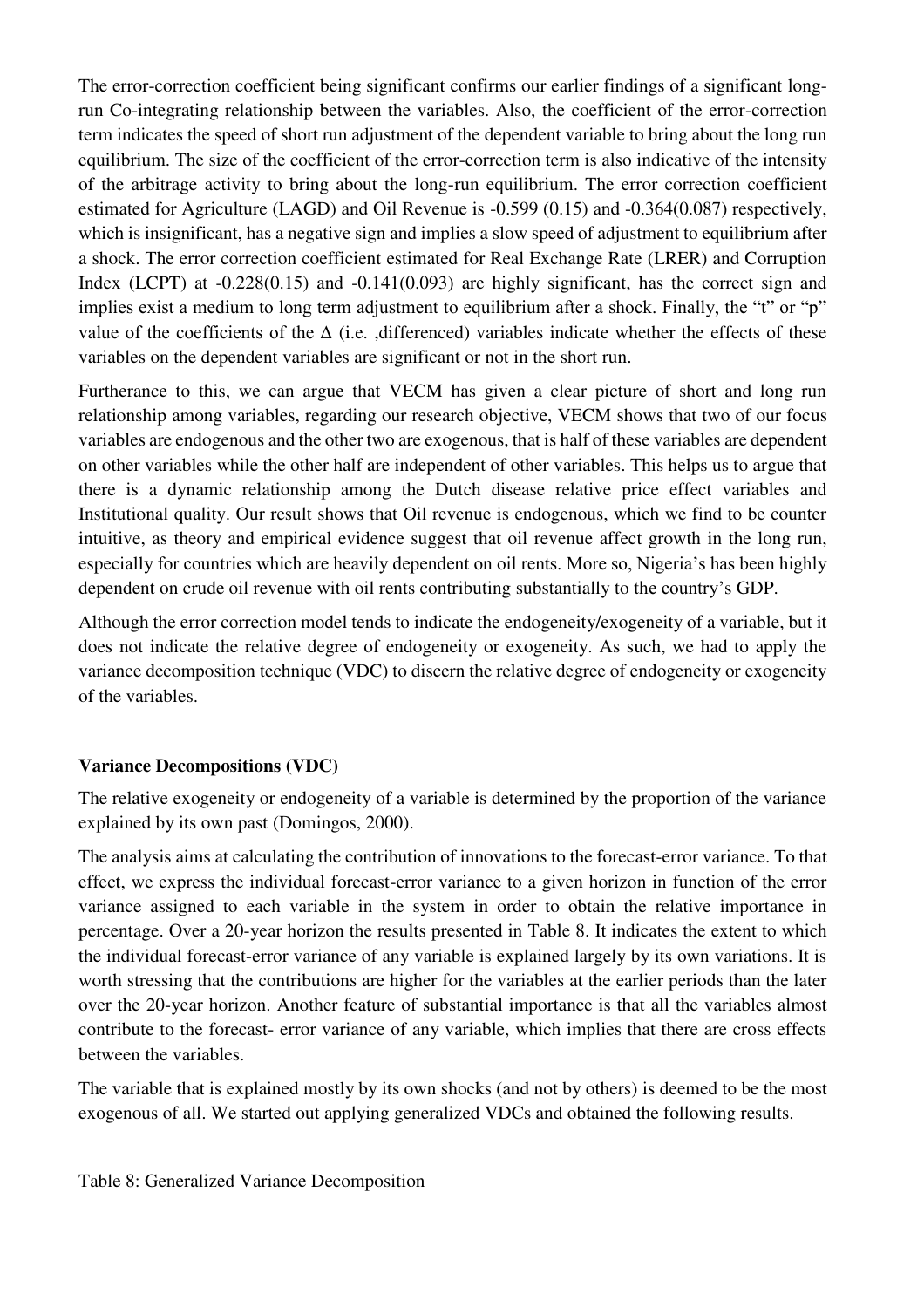The error-correction coefficient being significant confirms our earlier findings of a significant longrun Co-integrating relationship between the variables. Also, the coefficient of the error-correction term indicates the speed of short run adjustment of the dependent variable to bring about the long run equilibrium. The size of the coefficient of the error-correction term is also indicative of the intensity of the arbitrage activity to bring about the long-run equilibrium. The error correction coefficient estimated for Agriculture (LAGD) and Oil Revenue is -0.599 (0.15) and -0.364(0.087) respectively, which is insignificant, has a negative sign and implies a slow speed of adjustment to equilibrium after a shock. The error correction coefficient estimated for Real Exchange Rate (LRER) and Corruption Index (LCPT) at  $-0.228(0.15)$  and  $-0.141(0.093)$  are highly significant, has the correct sign and implies exist a medium to long term adjustment to equilibrium after a shock. Finally, the "t" or "p" value of the coefficients of the  $\Delta$  (i.e. ,differenced) variables indicate whether the effects of these variables on the dependent variables are significant or not in the short run.

Furtherance to this, we can argue that VECM has given a clear picture of short and long run relationship among variables, regarding our research objective, VECM shows that two of our focus variables are endogenous and the other two are exogenous, that is half of these variables are dependent on other variables while the other half are independent of other variables. This helps us to argue that there is a dynamic relationship among the Dutch disease relative price effect variables and Institutional quality. Our result shows that Oil revenue is endogenous, which we find to be counter intuitive, as theory and empirical evidence suggest that oil revenue affect growth in the long run, especially for countries which are heavily dependent on oil rents. More so, Nigeria's has been highly dependent on crude oil revenue with oil rents contributing substantially to the country's GDP.

Although the error correction model tends to indicate the endogeneity/exogeneity of a variable, but it does not indicate the relative degree of endogeneity or exogeneity. As such, we had to apply the variance decomposition technique (VDC) to discern the relative degree of endogeneity or exogeneity of the variables.

# **Variance Decompositions (VDC)**

The relative exogeneity or endogeneity of a variable is determined by the proportion of the variance explained by its own past (Domingos, 2000).

The analysis aims at calculating the contribution of innovations to the forecast-error variance. To that effect, we express the individual forecast-error variance to a given horizon in function of the error variance assigned to each variable in the system in order to obtain the relative importance in percentage. Over a 20-year horizon the results presented in [Table 8.](#page-20-0) It indicates the extent to which the individual forecast-error variance of any variable is explained largely by its own variations. It is worth stressing that the contributions are higher for the variables at the earlier periods than the later over the 20-year horizon. Another feature of substantial importance is that all the variables almost contribute to the forecast- error variance of any variable, which implies that there are cross effects between the variables.

The variable that is explained mostly by its own shocks (and not by others) is deemed to be the most exogenous of all. We started out applying generalized VDCs and obtained the following results.

<span id="page-20-0"></span>Table 8: Generalized Variance Decomposition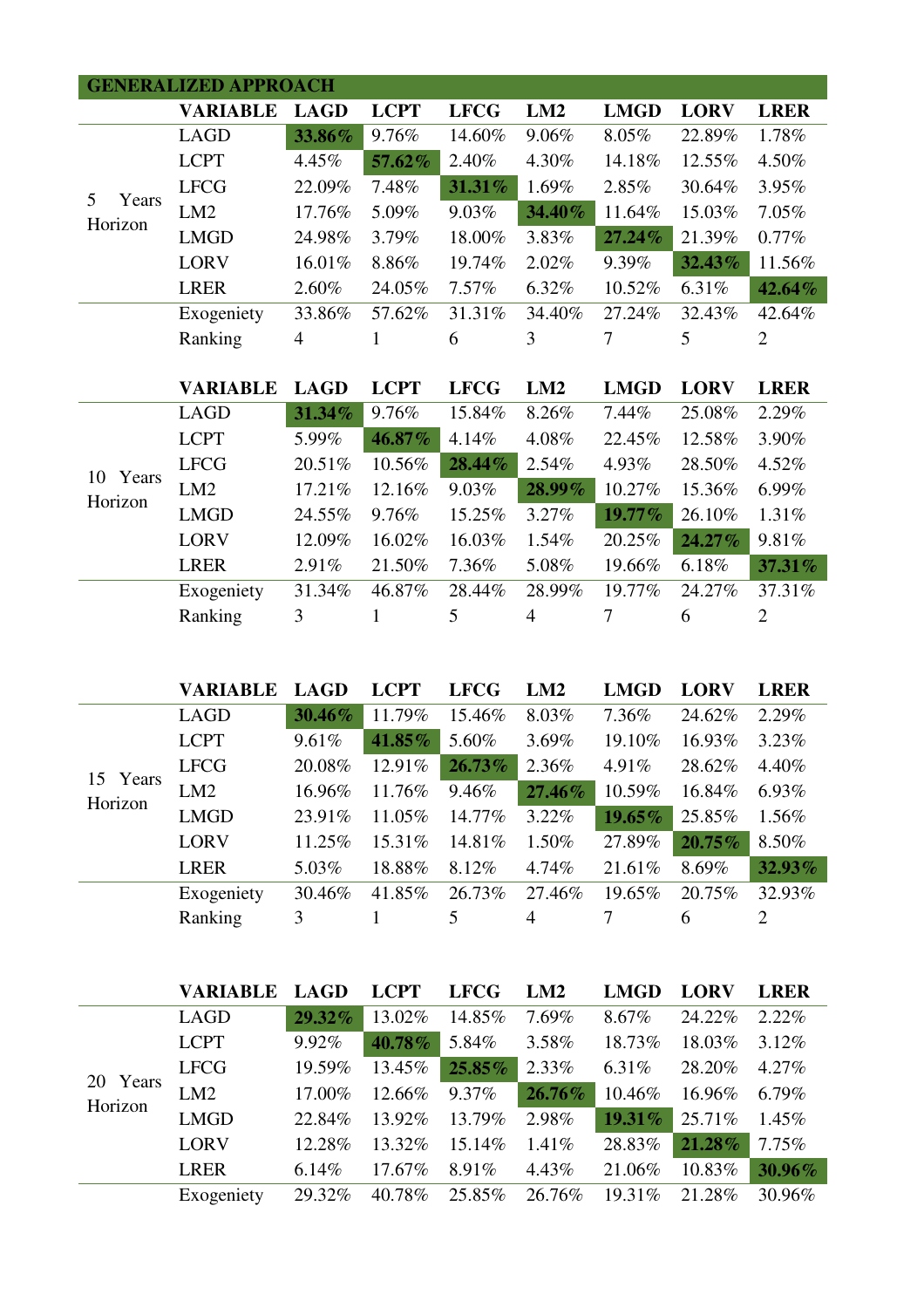|             | <b>GENERALIZED APPROACH</b> |             |             |             |        |             |             |                |
|-------------|-----------------------------|-------------|-------------|-------------|--------|-------------|-------------|----------------|
|             | <b>VARIABLE</b>             | <b>LAGD</b> | <b>LCPT</b> | <b>LFCG</b> | LM2    | <b>LMGD</b> | <b>LORV</b> | <b>LRER</b>    |
|             | <b>LAGD</b>                 | 33.86%      | 9.76%       | 14.60%      | 9.06%  | 8.05%       | 22.89%      | 1.78%          |
|             | <b>LCPT</b>                 | 4.45%       | 57.62%      | 2.40%       | 4.30%  | 14.18%      | 12.55%      | 4.50%          |
| 5           | <b>LFCG</b>                 | 22.09%      | 7.48%       | 31.31%      | 1.69%  | 2.85%       | 30.64%      | 3.95%          |
| Years       | LM2                         | 17.76%      | 5.09%       | 9.03%       | 34.40% | 11.64%      | 15.03%      | 7.05%          |
| Horizon     | <b>LMGD</b>                 | 24.98%      | 3.79%       | 18.00%      | 3.83%  | 27.24%      | 21.39%      | 0.77%          |
|             | <b>LORV</b>                 | 16.01%      | 8.86%       | 19.74%      | 2.02%  | 9.39%       | 32.43%      | 11.56%         |
|             | <b>LRER</b>                 | 2.60%       | 24.05%      | 7.57%       | 6.32%  | 10.52%      | 6.31%       | 42.64%         |
|             | Exogeniety                  | 33.86%      | 57.62%      | 31.31%      | 34.40% | 27.24%      | 32.43%      | 42.64%         |
|             | Ranking                     | 4           | 1           | 6           | 3      | 7           | 5           | $\overline{2}$ |
|             |                             |             |             |             |        |             |             |                |
|             |                             |             |             |             |        |             |             |                |
|             | <b>VARIABLE</b>             | <b>LAGD</b> | <b>LCPT</b> | <b>LFCG</b> | LM2    | <b>LMGD</b> | <b>LORV</b> | <b>LRER</b>    |
|             | <b>LAGD</b>                 | 31.34%      | 9.76%       | 15.84%      | 8.26%  | 7.44%       | 25.08%      | 2.29%          |
|             | <b>LCPT</b>                 | 5.99%       | 46.87%      | 4.14%       | 4.08%  | 22.45%      | 12.58%      | 3.90%          |
|             | <b>LFCG</b>                 | 20.51%      | 10.56%      | 28.44%      | 2.54%  | 4.93%       | 28.50%      | 4.52%          |
| Years<br>10 | LM <sub>2</sub>             | 17.21%      | 12.16%      | 9.03%       | 28.99% | 10.27%      | 15.36%      | 6.99%          |
| Horizon     | <b>LMGD</b>                 | 24.55%      | 9.76%       | 15.25%      | 3.27%  | 19.77%      | 26.10%      | 1.31%          |
|             | <b>LORV</b>                 | 12.09%      | 16.02%      | 16.03%      | 1.54%  | 20.25%      | 24.27%      | 9.81%          |
|             | <b>LRER</b>                 | 2.91%       | 21.50%      | 7.36%       | 5.08%  | 19.66%      | 6.18%       | 37.31%         |
|             | Exogeniety                  | 31.34%      | 46.87%      | 28.44%      | 28.99% | 19.77%      | 24.27%      | 37.31%         |
|             | Ranking                     | 3           |             | 5           | 4      | 7           | 6           | $\overline{2}$ |

|                        | <b>VARIABLE</b> | <b>LAGD</b> | <b>LCPT</b> | <b>LFCG</b> | LM2    | <b>LMGD</b> | <b>LORV</b> | <b>LRER</b>    |
|------------------------|-----------------|-------------|-------------|-------------|--------|-------------|-------------|----------------|
| Years<br>15<br>Horizon | <b>LAGD</b>     | 30.46%      | 11.79%      | 15.46%      | 8.03%  | 7.36%       | 24.62%      | 2.29%          |
|                        | <b>LCPT</b>     | 9.61%       | 41.85%      | 5.60%       | 3.69%  | 19.10%      | 16.93%      | 3.23%          |
|                        | <b>LFCG</b>     | 20.08%      | 12.91%      | $26.73\%$   | 2.36%  | 4.91%       | 28.62%      | 4.40%          |
|                        | LM2             | 16.96%      | 11.76%      | 9.46%       | 27.46% | 10.59%      | 16.84%      | 6.93%          |
|                        | <b>LMGD</b>     | 23.91%      | 11.05%      | 14.77%      | 3.22%  | 19.65%      | 25.85%      | 1.56%          |
|                        | <b>LORV</b>     | 11.25%      | 15.31\%     | 14.81%      | 1.50%  | 27.89%      | $20.75\%$   | 8.50%          |
|                        | <b>LRER</b>     | 5.03%       | 18.88%      | 8.12%       | 4.74%  | 21.61%      | 8.69%       | 32.93%         |
|                        | Exogeniety      | 30.46%      | 41.85%      | 26.73%      | 27.46% | 19.65%      | 20.75%      | 32.93%         |
|                        | Ranking         | 3           |             | 5           | 4      |             | 6           | $\overline{2}$ |

|                        |             | VARIABLE    | <b>LAGD</b> | <b>LCPT</b> | <b>LFCG</b> | LM2       | <b>LMGD</b> | <b>LORV</b> | <b>LRER</b> |
|------------------------|-------------|-------------|-------------|-------------|-------------|-----------|-------------|-------------|-------------|
| Years<br>20<br>Horizon |             | <b>LAGD</b> | $29.32\%$   | 13.02%      | 14.85%      | 7.69%     | 8.67%       | 24.22%      | $2.22\%$    |
|                        | <b>LCPT</b> | 9.92%       | $40.78\%$   | 5.84%       | 3.58%       | 18.73%    | 18.03%      | $3.12\%$    |             |
|                        | <b>LFCG</b> | 19.59%      | 13.45%      | 25.85%      | 2.33%       | $6.31\%$  | 28.20%      | 4.27%       |             |
|                        | LM2         | 17.00%      | 12.66%      | 9.37%       | 26.76%      | 10.46%    | 16.96%      | $6.79\%$    |             |
|                        | <b>LMGD</b> | 22.84%      | 13.92%      | 13.79%      | 2.98%       | $19.31\%$ | 25.71%      | 1.45%       |             |
|                        | <b>LORV</b> | 12.28%      | 13.32%      | 15.14%      | $1.41\%$    | 28.83%    | $21.28\%$   | 7.75%       |             |
|                        | <b>LRER</b> | 6.14%       | 17.67%      | 8.91%       | 4.43%       | 21.06%    | 10.83%      | 30.96%      |             |
|                        |             | Exogeniety  | 29.32%      | 40.78%      | 25.85%      | 26.76%    | $19.31\%$   | 21.28%      | 30.96%      |
|                        |             |             |             |             |             |           |             |             |             |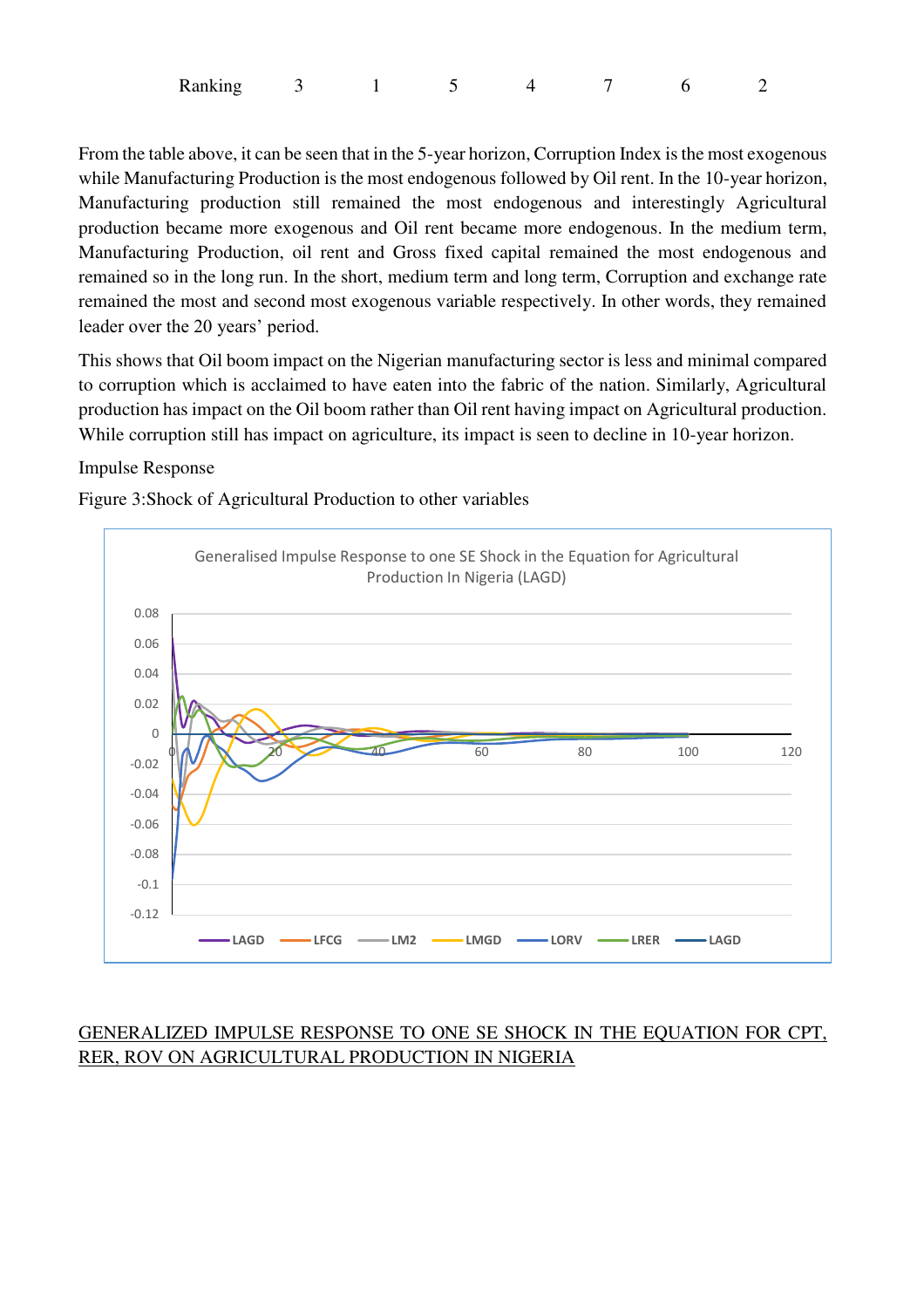| Ranking |  |  |  |  |
|---------|--|--|--|--|
|         |  |  |  |  |

From the table above, it can be seen that in the 5-year horizon, Corruption Index is the most exogenous while Manufacturing Production is the most endogenous followed by Oil rent. In the 10-year horizon, Manufacturing production still remained the most endogenous and interestingly Agricultural production became more exogenous and Oil rent became more endogenous. In the medium term, Manufacturing Production, oil rent and Gross fixed capital remained the most endogenous and remained so in the long run. In the short, medium term and long term, Corruption and exchange rate remained the most and second most exogenous variable respectively. In other words, they remained leader over the 20 years' period.

This shows that Oil boom impact on the Nigerian manufacturing sector is less and minimal compared to corruption which is acclaimed to have eaten into the fabric of the nation. Similarly, Agricultural production has impact on the Oil boom rather than Oil rent having impact on Agricultural production. While corruption still has impact on agriculture, its impact is seen to decline in 10-year horizon.

#### Impulse Response

Figure 3:Shock of Agricultural Production to other variables



# GENERALIZED IMPULSE RESPONSE TO ONE SE SHOCK IN THE EQUATION FOR CPT, RER, ROV ON AGRICULTURAL PRODUCTION IN NIGERIA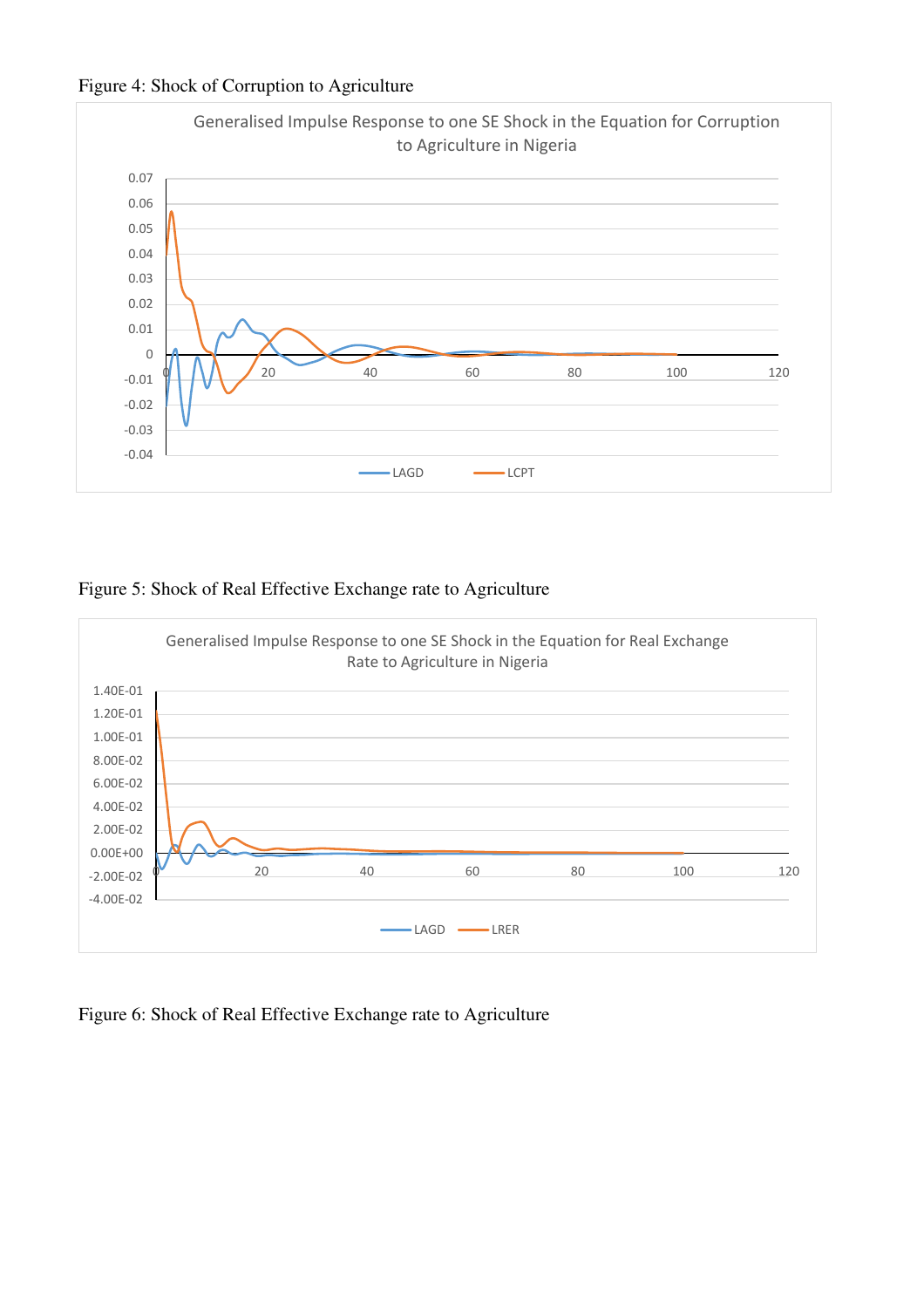



#### Figure 5: Shock of Real Effective Exchange rate to Agriculture



Figure 6: Shock of Real Effective Exchange rate to Agriculture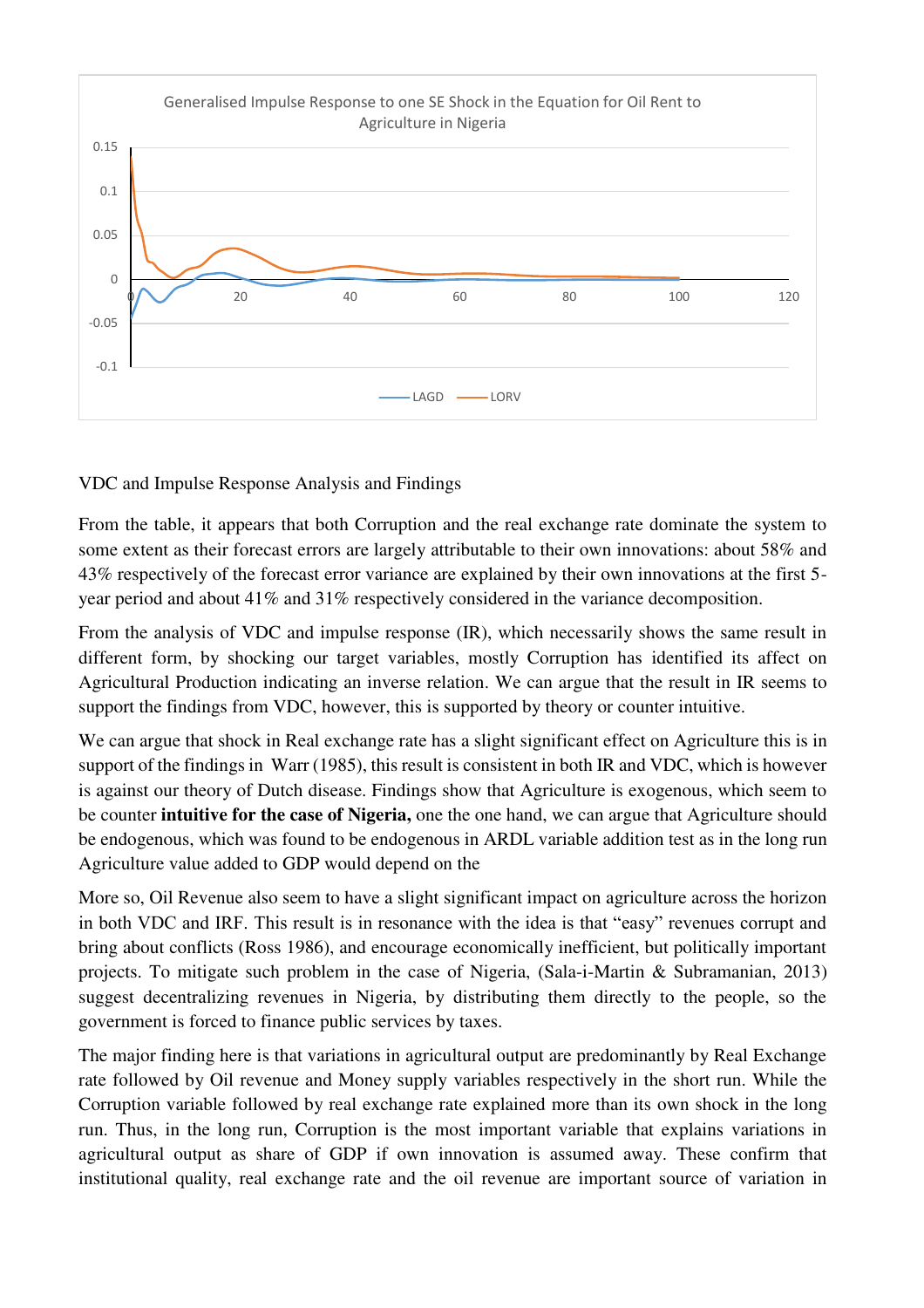

VDC and Impulse Response Analysis and Findings

From the table, it appears that both Corruption and the real exchange rate dominate the system to some extent as their forecast errors are largely attributable to their own innovations: about 58% and 43% respectively of the forecast error variance are explained by their own innovations at the first 5 year period and about 41% and 31% respectively considered in the variance decomposition.

From the analysis of VDC and impulse response (IR), which necessarily shows the same result in different form, by shocking our target variables, mostly Corruption has identified its affect on Agricultural Production indicating an inverse relation. We can argue that the result in IR seems to support the findings from VDC, however, this is supported by theory or counter intuitive.

We can argue that shock in Real exchange rate has a slight significant effect on Agriculture this is in support of the findings in Warr (1985), this result is consistent in both IR and VDC, which is however is against our theory of Dutch disease. Findings show that Agriculture is exogenous, which seem to be counter **intuitive for the case of Nigeria,** one the one hand, we can argue that Agriculture should be endogenous, which was found to be endogenous in ARDL variable addition test as in the long run Agriculture value added to GDP would depend on the

More so, Oil Revenue also seem to have a slight significant impact on agriculture across the horizon in both VDC and IRF. This result is in resonance with the idea is that "easy" revenues corrupt and bring about conflicts (Ross 1986), and encourage economically inefficient, but politically important projects. To mitigate such problem in the case of Nigeria, (Sala-i-Martin & Subramanian, 2013) suggest decentralizing revenues in Nigeria, by distributing them directly to the people, so the government is forced to finance public services by taxes.

The major finding here is that variations in agricultural output are predominantly by Real Exchange rate followed by Oil revenue and Money supply variables respectively in the short run. While the Corruption variable followed by real exchange rate explained more than its own shock in the long run. Thus, in the long run, Corruption is the most important variable that explains variations in agricultural output as share of GDP if own innovation is assumed away. These confirm that institutional quality, real exchange rate and the oil revenue are important source of variation in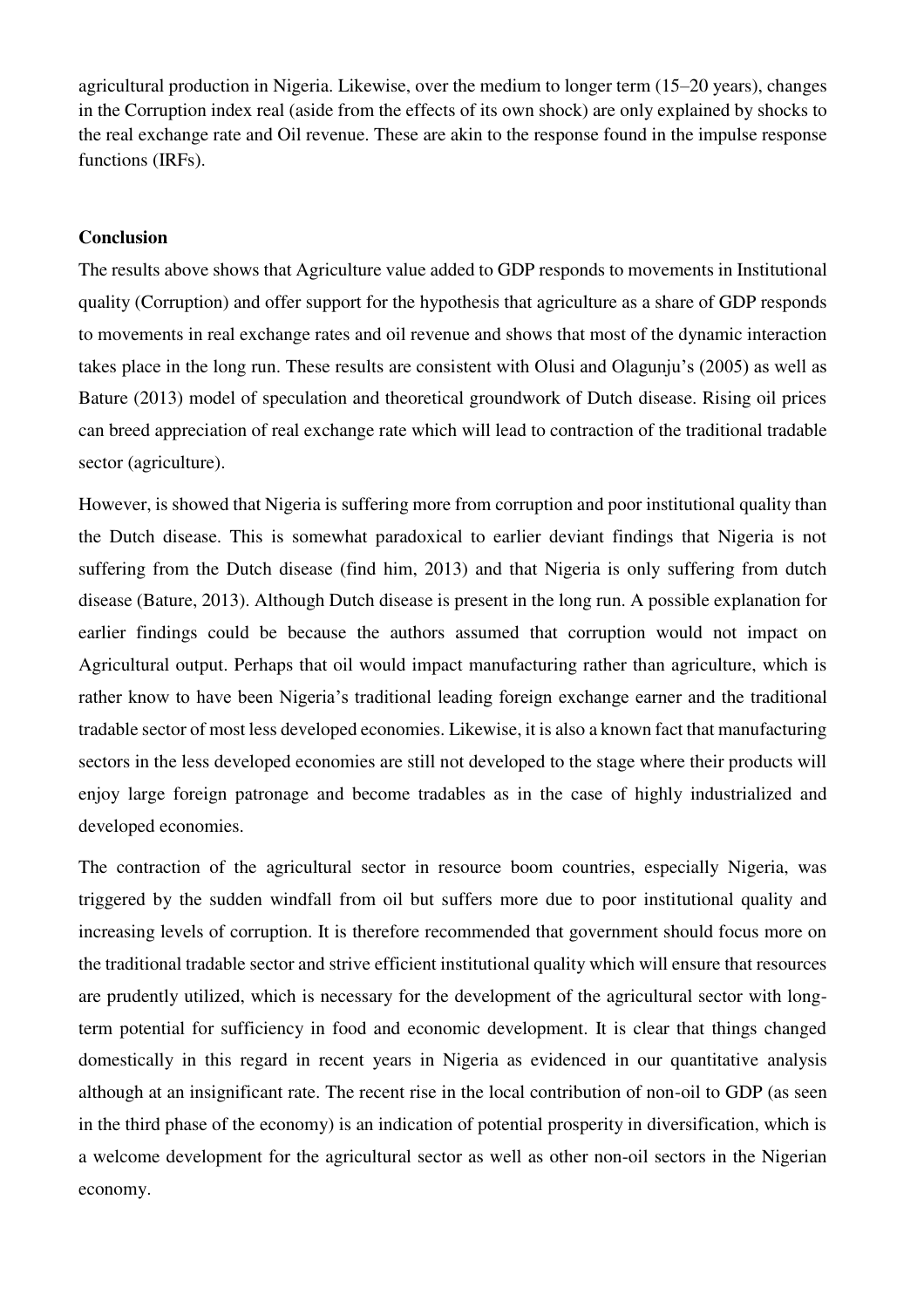agricultural production in Nigeria. Likewise, over the medium to longer term (15–20 years), changes in the Corruption index real (aside from the effects of its own shock) are only explained by shocks to the real exchange rate and Oil revenue. These are akin to the response found in the impulse response functions (IRFs).

#### **Conclusion**

The results above shows that Agriculture value added to GDP responds to movements in Institutional quality (Corruption) and offer support for the hypothesis that agriculture as a share of GDP responds to movements in real exchange rates and oil revenue and shows that most of the dynamic interaction takes place in the long run. These results are consistent with Olusi and Olagunju's (2005) as well as Bature (2013) model of speculation and theoretical groundwork of Dutch disease. Rising oil prices can breed appreciation of real exchange rate which will lead to contraction of the traditional tradable sector (agriculture).

However, is showed that Nigeria is suffering more from corruption and poor institutional quality than the Dutch disease. This is somewhat paradoxical to earlier deviant findings that Nigeria is not suffering from the Dutch disease (find him, 2013) and that Nigeria is only suffering from dutch disease (Bature, 2013). Although Dutch disease is present in the long run. A possible explanation for earlier findings could be because the authors assumed that corruption would not impact on Agricultural output. Perhaps that oil would impact manufacturing rather than agriculture, which is rather know to have been Nigeria's traditional leading foreign exchange earner and the traditional tradable sector of most less developed economies. Likewise, it is also a known fact that manufacturing sectors in the less developed economies are still not developed to the stage where their products will enjoy large foreign patronage and become tradables as in the case of highly industrialized and developed economies.

The contraction of the agricultural sector in resource boom countries, especially Nigeria, was triggered by the sudden windfall from oil but suffers more due to poor institutional quality and increasing levels of corruption. It is therefore recommended that government should focus more on the traditional tradable sector and strive efficient institutional quality which will ensure that resources are prudently utilized, which is necessary for the development of the agricultural sector with longterm potential for sufficiency in food and economic development. It is clear that things changed domestically in this regard in recent years in Nigeria as evidenced in our quantitative analysis although at an insignificant rate. The recent rise in the local contribution of non-oil to GDP (as seen in the third phase of the economy) is an indication of potential prosperity in diversification, which is a welcome development for the agricultural sector as well as other non-oil sectors in the Nigerian economy.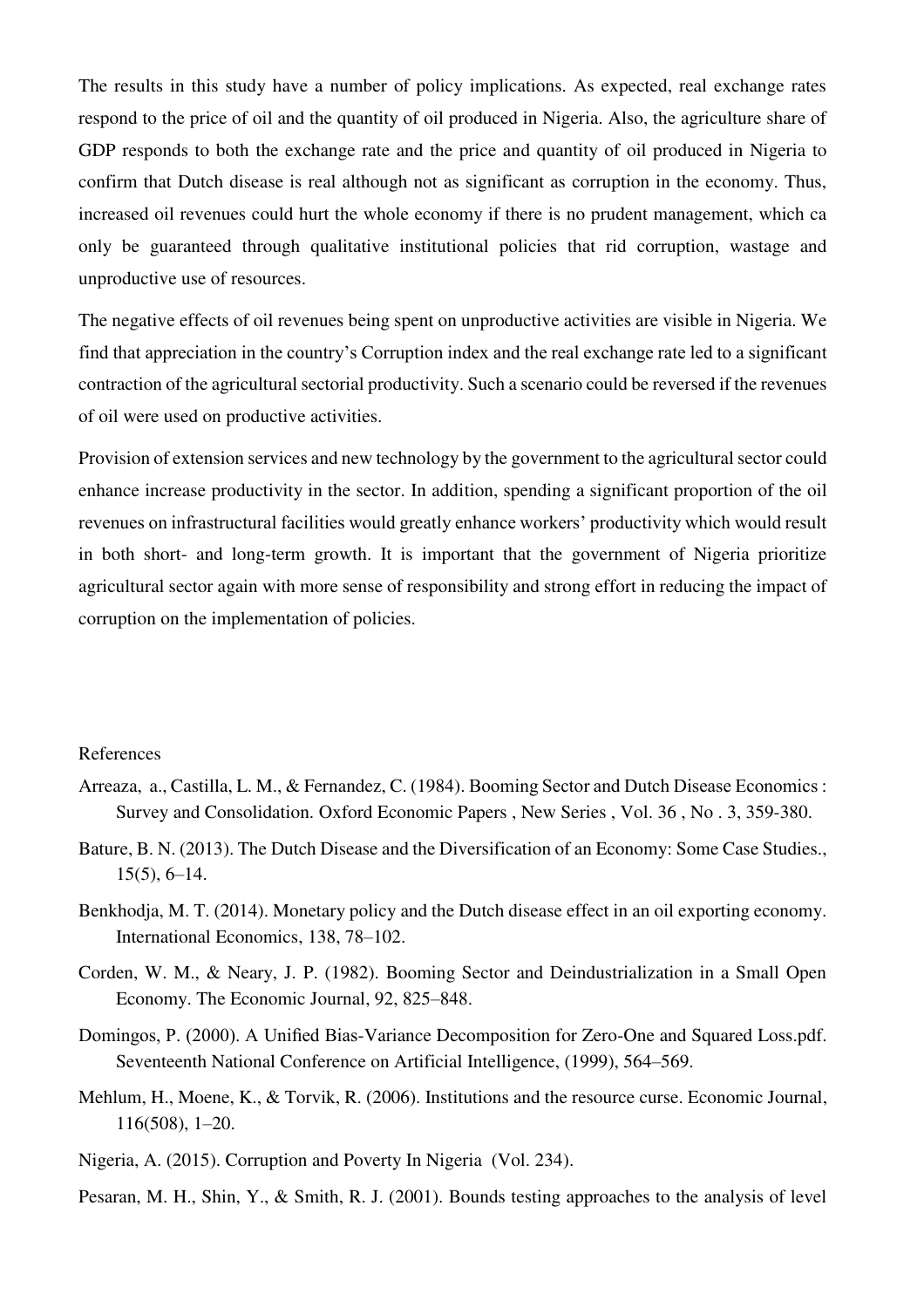The results in this study have a number of policy implications. As expected, real exchange rates respond to the price of oil and the quantity of oil produced in Nigeria. Also, the agriculture share of GDP responds to both the exchange rate and the price and quantity of oil produced in Nigeria to confirm that Dutch disease is real although not as significant as corruption in the economy. Thus, increased oil revenues could hurt the whole economy if there is no prudent management, which ca only be guaranteed through qualitative institutional policies that rid corruption, wastage and unproductive use of resources.

The negative effects of oil revenues being spent on unproductive activities are visible in Nigeria. We find that appreciation in the country's Corruption index and the real exchange rate led to a significant contraction of the agricultural sectorial productivity. Such a scenario could be reversed if the revenues of oil were used on productive activities.

Provision of extension services and new technology by the government to the agricultural sector could enhance increase productivity in the sector. In addition, spending a significant proportion of the oil revenues on infrastructural facilities would greatly enhance workers' productivity which would result in both short- and long-term growth. It is important that the government of Nigeria prioritize agricultural sector again with more sense of responsibility and strong effort in reducing the impact of corruption on the implementation of policies.

#### References

- Arreaza, a., Castilla, L. M., & Fernandez, C. (1984). Booming Sector and Dutch Disease Economics : Survey and Consolidation. Oxford Economic Papers , New Series , Vol. 36 , No . 3, 359-380.
- Bature, B. N. (2013). The Dutch Disease and the Diversification of an Economy: Some Case Studies., 15(5), 6–14.
- Benkhodja, M. T. (2014). Monetary policy and the Dutch disease effect in an oil exporting economy. International Economics, 138, 78–102.
- Corden, W. M., & Neary, J. P. (1982). Booming Sector and Deindustrialization in a Small Open Economy. The Economic Journal, 92, 825–848.
- Domingos, P. (2000). A Unified Bias-Variance Decomposition for Zero-One and Squared Loss.pdf. Seventeenth National Conference on Artificial Intelligence, (1999), 564–569.
- Mehlum, H., Moene, K., & Torvik, R. (2006). Institutions and the resource curse. Economic Journal, 116(508), 1–20.
- Nigeria, A. (2015). Corruption and Poverty In Nigeria (Vol. 234).

Pesaran, M. H., Shin, Y., & Smith, R. J. (2001). Bounds testing approaches to the analysis of level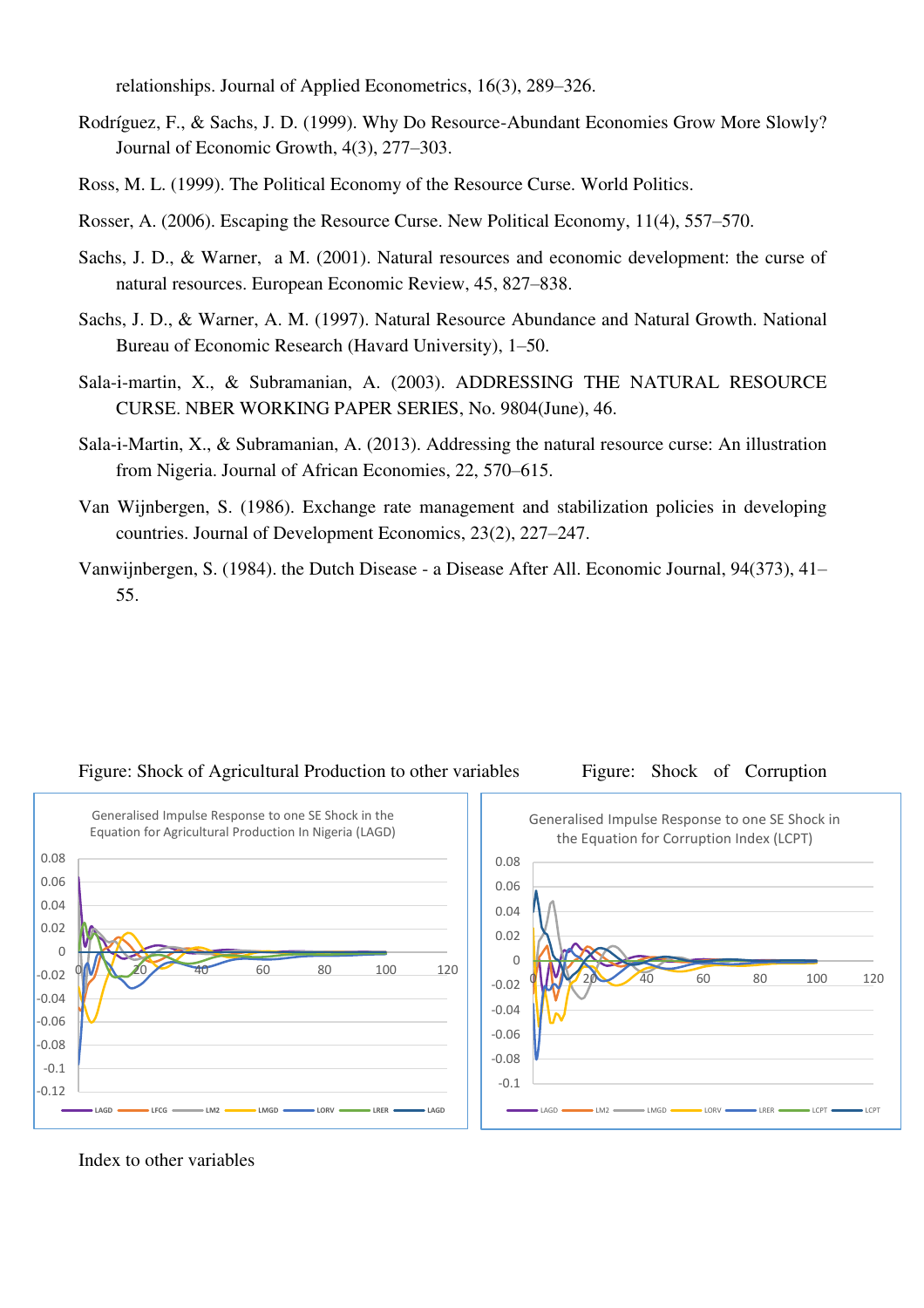relationships. Journal of Applied Econometrics, 16(3), 289–326.

- Rodríguez, F., & Sachs, J. D. (1999). Why Do Resource-Abundant Economies Grow More Slowly? Journal of Economic Growth, 4(3), 277–303.
- Ross, M. L. (1999). The Political Economy of the Resource Curse. World Politics.
- Rosser, A. (2006). Escaping the Resource Curse. New Political Economy, 11(4), 557–570.
- Sachs, J. D., & Warner, a M. (2001). Natural resources and economic development: the curse of natural resources. European Economic Review, 45, 827–838.
- Sachs, J. D., & Warner, A. M. (1997). Natural Resource Abundance and Natural Growth. National Bureau of Economic Research (Havard University), 1–50.
- Sala-i-martin, X., & Subramanian, A. (2003). ADDRESSING THE NATURAL RESOURCE CURSE. NBER WORKING PAPER SERIES, No. 9804(June), 46.
- Sala-i-Martin, X., & Subramanian, A. (2013). Addressing the natural resource curse: An illustration from Nigeria. Journal of African Economies, 22, 570–615.
- Van Wijnbergen, S. (1986). Exchange rate management and stabilization policies in developing countries. Journal of Development Economics, 23(2), 227–247.
- Vanwijnbergen, S. (1984). the Dutch Disease a Disease After All. Economic Journal, 94(373), 41– 55.



# Figure: Shock of Agricultural Production to other variables Figure: Shock of Corruption

Index to other variables